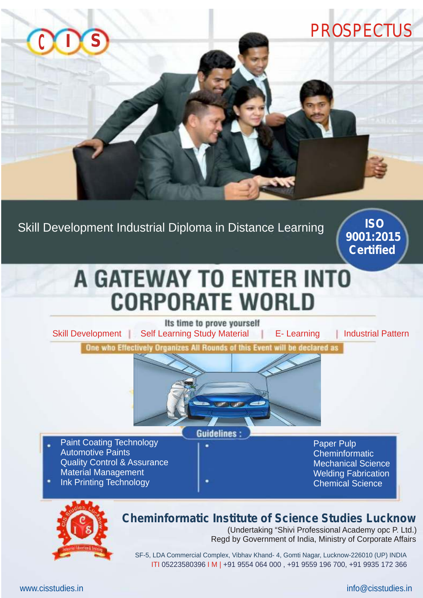

Skill Development Industrial Diploma in Distance Learning

**ISO 9001:2015 Certified**

## **A GATEWAY TO ENTER INTO CORPORATE WORLD**

Its time to prove yourself Skill Development Self Learning Study Material F- Learning Industrial Pattern



**Guidelines:** 

- Paint Coating Technology Automotive Paints Quality Control & Assurance Material Management
- Ink Printing Technology

Paper Pulp **Cheminformatic** Mechanical Science Welding Fabrication Chemical Science



### **Cheminformatic Institute of Science Studies Lucknow**

(Undertaking "Shivi Professional Academy opc P. Ltd.) Regd by Government of India, Ministry of Corporate Affairs

 SF-5, LDA Commercial Complex, Vibhav Khand- 4, Gomti Nagar, Lucknow-226010 (UP) INDIA ITI 05223580396 I M | +91 9554 064 000 , +91 9559 196 700, +91 9935 172 366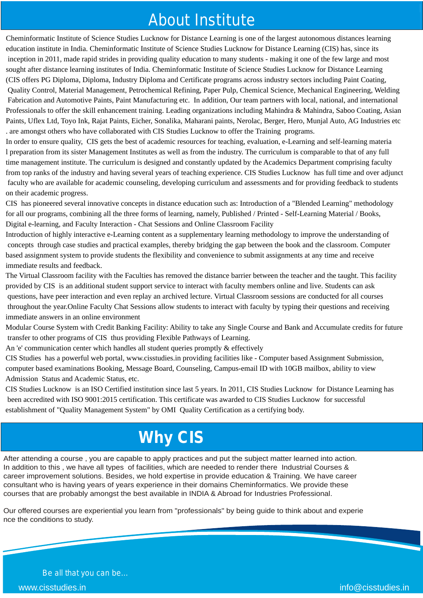### About Institute

Cheminformatic Institute of Science Studies Lucknow for Distance Learning is one of the largest autonomous distances learning education institute in India. Cheminformatic Institute of Science Studies Lucknow for Distance Learning (CIS) has, since its inception in 2011, made rapid strides in providing quality education to many students - making it one of the few large and most sought after distance learning institutes of India. Cheminformatic Institute of Science Studies Lucknow for Distance Learning (CIS offers PG Diploma, Diploma, Industry Diploma and Certificate programs across industry sectors including Paint Coating, Quality Control, Material Management, Petrochemical Refining, Paper Pulp, Chemical Science, Mechanical Engineering, Welding Fabrication and Automotive Paints, Paint Manufacturing etc. In addition, Our team partners with local, national, and international Professionals to offer the skill enhancement training. Leading organizations including Mahindra & Mahindra, Saboo Coating, Asian Paints, Uflex Ltd, Toyo Ink, Rajat Paints, Eicher, Sonalika, Maharani paints, Nerolac, Berger, Hero, Munjal Auto, AG Industries etc . are amongst others who have collaborated with CIS Studies Lucknow to offer the Training programs.

In order to ensure quality, CIS gets the best of academic resources for teaching, evaluation, e-Learning and self-learning materia l preparation from its sister Management Institutes as well as from the industry. The curriculum is comparable to that of any full time management institute. The curriculum is designed and constantly updated by the Academics Department comprising faculty from top ranks of the industry and having several years of teaching experience. CIS Studies Lucknow has full time and over adjunct faculty who are available for academic counseling, developing curriculum and assessments and for providing feedback to students on their academic progress.

for all our programs, combining all the three forms of learning, namely, Published / Printed - Self-Learning Material / Books,<br>Digital e-learning, and Faculty Interaction - Chat Sessions and Online Classroom Facility CIS has pioneered several innovative concepts in distance education such as: Introduction of a "Blended Learning" methodology Digital e-learning, and Faculty Interaction - Chat Sessions and Online Classroom Facility

Introduction of highly interactive e-Learning content as a supplementary learning methodology to improve the understanding of concepts through case studies and practical examples, thereby bridging the gap between the book and the classroom. Computer based assignment system to provide students the flexibility and convenience to submit assignments at any time and receive immediate results and feedback.

The Virtual Classroom facility with the Faculties has removed the distance barrier between the teacher and the taught. This facility provided by CIS is an additional student support service to interact with faculty members online and live. Students can ask questions, have peer interaction and even replay an archived lecture. Virtual Classroom sessions are conducted for all courses throughout the year.Online Faculty Chat Sessions allow students to interact with faculty by typing their questions and receiving immediate answers in an online environment

Modular Course System with Credit Banking Facility: Ability to take any Single Course and Bank and Accumulate credits for future transfer to other programs of CIS thus providing Flexible Pathways of Learning.

An 'e' communication center which handles all student queries promptly  $&$  effectively

CIS Studies has a powerful web portal, www.cisstudies.in providing facilities like - Computer based Assignment Submission, computer based examinations Booking, Message Board, Counseling, Campus-email ID with 10GB mailbox, ability to view Admission Status and Academic Status, etc.

CIS Studies Lucknow is an ISO Certified institution since last 5 years. In 2011, CIS Studies Lucknow for Distance Learning has been accredited with ISO 9001:2015 certification. This certificate was awarded to CIS Studies Lucknow for successful establishment of "Quality Management System" by OMI Quality Certification as a certifying body.

### **Why CIS**

After attending a course , you are capable to apply practices and put the subject matter learned into action. In addition to this, we have all types of facilities, which are needed to render there Industrial Courses & career improvement solutions. Besides, we hold expertise in provide education & Training. We have career consultant who is having years of years experience in their domains Cheminformatics. We provide these courses that are probably amongst the best available in INDIA & Abroad for Industries Professional.

Our offered courses are experiential you learn from "professionals" by being guide to think about and experie nce the conditions to study.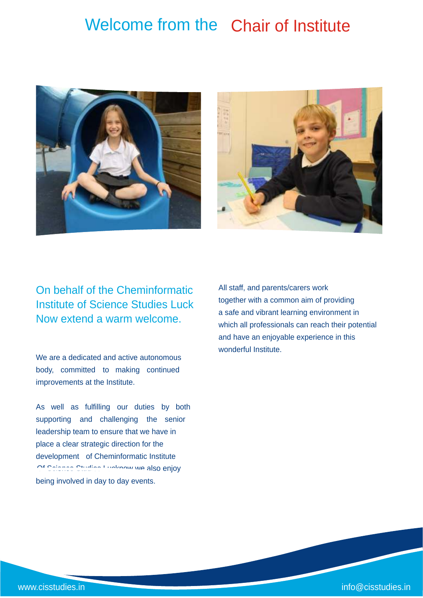### Welcome from the Chair of Institute





On behalf of the Cheminformatic Institute of Science Studies Luck Now extend a warm welcome.

We are a dedicated and active autonomous body, committed to making continued improvements at the Institute.

As well as fulfilling our duties by both supporting and challenging the senior leadership team to ensure that we have in place a clear strategic direction for the development of Cheminformatic Institute Of Science Studies Lucknow we also enjoy being involved in day to day events.

All staff, and parents/carers work together with a common aim of providing a safe and vibrant learning environment in which all professionals can reach their potential and have an enjoyable experience in this wonderful Institute.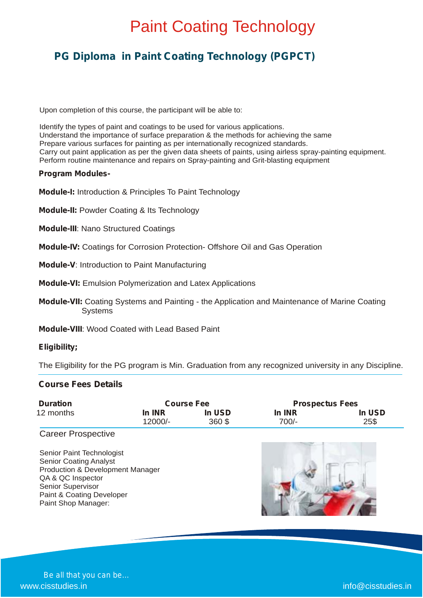### **PG Diploma in Paint Coating Technology (PGPCT)**

Upon completion of this course, the participant will be able to:

Identify the types of paint and coatings to be used for various applications. Understand the importance of surface preparation & the methods for achieving the same Prepare various surfaces for painting as per internationally recognized standards. Carry out paint application as per the given data sheets of paints, using airless spray-painting equipment. Perform routine maintenance and repairs on Spray-painting and Grit-blasting equipment

#### **Program Modules-**

**Module-I:** Introduction & Principles To Paint Technology

**Module-II:** Powder Coating & Its Technology

 **Module-III**: Nano Structured Coatings

 **Module-IV:** Coatings for Corrosion Protection- Offshore Oil and Gas Operation

**Module-V**: Introduction to Paint Manufacturing

 **Module-VI:** Emulsion Polymerization and Latex Applications

**Module-VII:** Coating Systems and Painting - the Application and Maintenance of Marine Coating **Systems** 

**Module-VIII**: Wood Coated with Lead Based Paint

#### **Eligibility;**

The Eligibility for the PG program is Min. Graduation from any recognized university in any Discipline.

#### **Course Fees Details**

 Paint & Coating Developer Paint Shop Manager:

| <b>Duration</b>                  | <b>Course Fee</b> |        | <b>Prospectus Fees</b> |        |
|----------------------------------|-------------------|--------|------------------------|--------|
| 12 months                        | In INR            | In USD | In INR                 | In USD |
|                                  | 12000/-           | 360 \$ | $700/-$                | 25\$   |
| <b>Career Prospective</b>        |                   |        |                        |        |
|                                  |                   |        |                        |        |
| Senior Paint Technologist        |                   |        |                        |        |
| <b>Senior Coating Analyst</b>    |                   |        |                        |        |
| Production & Development Manager |                   |        |                        |        |
| QA & QC Inspector                |                   |        |                        |        |
| <b>Senior Supervisor</b>         |                   |        |                        |        |

 $\mathcal{L}$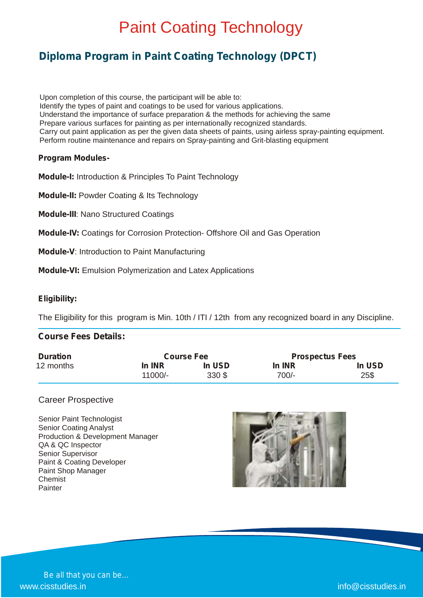### **Diploma Program in Paint Coating Technology (DPCT)**

Upon completion of this course, the participant will be able to: Identify the types of paint and coatings to be used for various applications. Understand the importance of surface preparation & the methods for achieving the same Prepare various surfaces for painting as per internationally recognized standards. Carry out paint application as per the given data sheets of paints, using airless spray-painting equipment. Perform routine maintenance and repairs on Spray-painting and Grit-blasting equipment

### **Program Modules-**

**Module-I:** Introduction & Principles To Paint Technology

**Module-II:** Powder Coating & Its Technology

**Module-III**: Nano Structured Coatings

**Module-IV:** Coatings for Corrosion Protection- Offshore Oil and Gas Operation

**Module-V**: Introduction to Paint Manufacturing

**Module-VI:** Emulsion Polymerization and Latex Applications

### **Eligibility:**

The Eligibility for this program is Min. 10th / ITI / 12th from any recognized board in any Discipline.

#### **Course Fees Details:** j

| <b>Duration</b> | <b>Course Fee</b> |        | <b>Prospectus Fees</b> |        |
|-----------------|-------------------|--------|------------------------|--------|
| 12 months       | In INR            | In USD | In INR                 | In USD |
|                 | 11000/-           | 330 \$ | 700/-                  | 25\$   |

#### Career Prospective

Senior Paint Technologist Senior Coating Analyst Production & Development Manager QA & QC Inspector Senior Supervisor Paint & Coating Developer Paint Shop Manager Chemist Painter

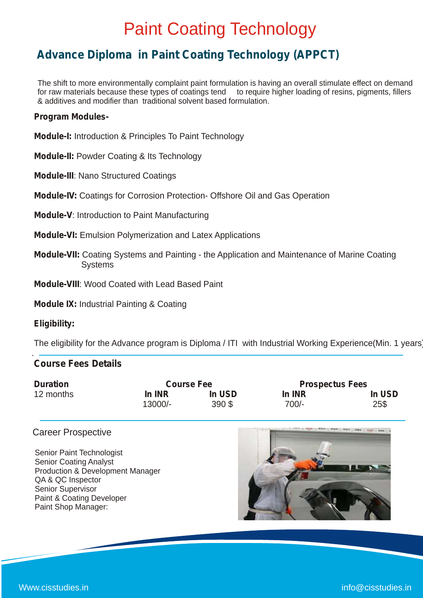### **Advance Diploma in Paint Coating Technology (APPCT)**

The shift to more environmentally complaint paint formulation is having an overall stimulate effect on demand for raw materials because these types of coatings tend to require higher loading of resins, pigments, fillers & additives and modifier than traditional solvent based formulation.

### **Program Modules-**

**Module-I:** Introduction & Principles To Paint Technology

**Module-II:** Powder Coating & Its Technology

**Module-III**: Nano Structured Coatings

**Module-IV:** Coatings for Corrosion Protection- Offshore Oil and Gas Operation

**Module-V**: Introduction to Paint Manufacturing

- **Module-VI:** Emulsion Polymerization and Latex Applications
- **Module-VII:** Coating Systems and Painting the Application and Maintenance of Marine Coating Systems

**Module-VIII**: Wood Coated with Lead Based Paint

**Module IX:** Industrial Painting & Coating

#### **Eligibility:**

.

The eligibility for the Advance program is Diploma / ITI with Industrial Working Experience(Min. 1 years)

### **Course Fees Details**

| <b>Duration</b> | <b>Course Fee</b> |          | <b>Prospectus Fees</b> |        |
|-----------------|-------------------|----------|------------------------|--------|
| 12 months       | In INR            | In USD   | In INR                 | In USD |
|                 | 13000/-           | $390$ \$ | 700/-                  | 25\$   |

### Career Prospective

Senior Paint Technologist Senior Coating Analyst Production & Development Manager QA & QC Inspector Senior Supervisor Paint & Coating Developer Paint Shop Manager:

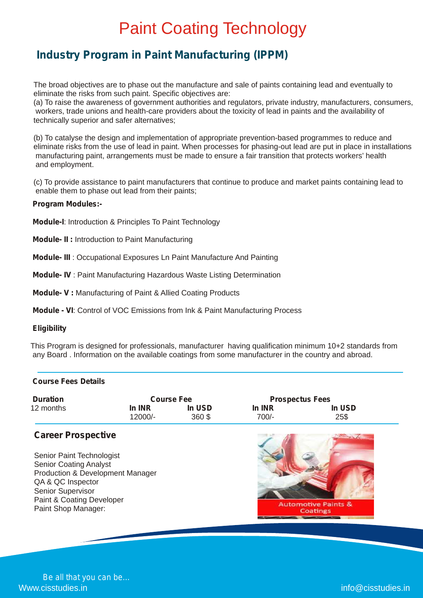### **Industry Program in Paint Manufacturing (IPPM)**

The broad objectives are to phase out the manufacture and sale of paints containing lead and eventually to eliminate the risks from such paint. Specific objectives are:

(a) To raise the awareness of government authorities and regulators, private industry, manufacturers, consumers, workers, trade unions and health-care providers about the toxicity of lead in paints and the availability of technically superior and safer alternatives;

(b) To catalyse the design and implementation of appropriate prevention-based programmes to reduce and eliminate risks from the use of lead in paint. When processes for phasing-out lead are put in place in installations manufacturing paint, arrangements must be made to ensure a fair transition that protects workers' health and employment.

(c) To provide assistance to paint manufacturers that continue to produce and market paints containing lead to enable them to phase out lead from their paints;

#### **Program Modules:-**

**Module-I**: Introduction & Principles To Paint Technology

**Module- II :** Introduction to Paint Manufacturing

**Module- III** : Occupational Exposures Ln Paint Manufacture And Painting

**Module- IV** : Paint Manufacturing Hazardous Waste Listing Determination

**Module- V :** Manufacturing of Paint & Allied Coating Products

**Module - VI**: Control of VOC Emissions from Ink & Paint Manufacturing Process

#### **Eligibility**

This Program is designed for professionals, manufacturer having qualification minimum 10+2 standards from any Board . Information on the available coatings from some manufacturer in the country and abroad.

#### **Course Fees Details** J

| <b>Duration</b>                                                                                                                                                                              |                   | <b>Course Fee</b> | <b>Prospectus Fees</b> |                                            |
|----------------------------------------------------------------------------------------------------------------------------------------------------------------------------------------------|-------------------|-------------------|------------------------|--------------------------------------------|
| 12 months                                                                                                                                                                                    | In INR<br>12000/- | In USD<br>360\$   | In INR<br>$700/-$      | In USD<br>25\$                             |
| <b>Career Prospective</b>                                                                                                                                                                    |                   |                   |                        |                                            |
| Senior Paint Technologist<br><b>Senior Coating Analyst</b><br>Production & Development Manager<br>QA & QC Inspector<br>Senior Supervisor<br>Paint & Coating Developer<br>Paint Shop Manager: |                   |                   |                        | <b>Automotive Paints &amp;</b><br>Coatings |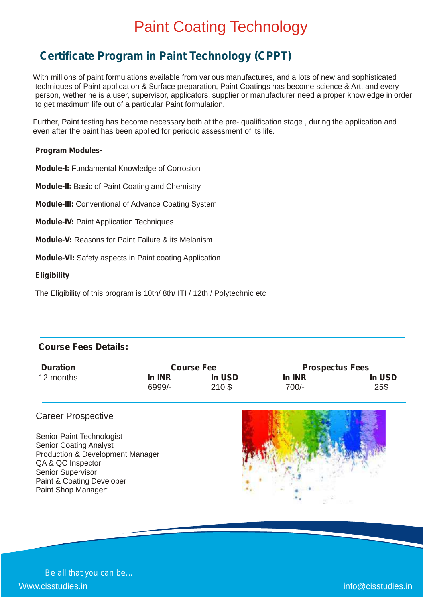### **Certificate Program in Paint Technology (CPPT)**

With millions of paint formulations available from various manufactures, and a lots of new and sophisticated techniques of Paint application & Surface preparation, Paint Coatings has become science & Art, and every person, wether he is a user, supervisor, applicators, supplier or manufacturer need a proper knowledge in order to get maximum life out of a particular Paint formulation.

Further, Paint testing has become necessary both at the pre- qualification stage , during the application and even after the paint has been applied for periodic assessment of its life.

#### **Program Modules-**

**Module-I:** Fundamental Knowledge of Corrosion

**Module-II:** Basic of Paint Coating and Chemistry

**Module-III:** Conventional of Advance Coating System

**Module-IV:** Paint Application Techniques

**Module-V:** Reasons for Paint Failure & its Melanism

**Module-VI:** Safety aspects in Paint coating Application

#### **Eligibility**

The Eligibility of this program is 10th/ 8th/ ITI / 12th / Polytechnic etc

### **Course Fees Details:**

| <b>Duration</b> | <b>Course Fee</b> |        | <b>Prospectus Fees</b> |        |
|-----------------|-------------------|--------|------------------------|--------|
| 12 months       | In INR            | In USD | In INR                 | In USD |
|                 | 6999/-            | 210S   | 700/-                  | 25\$   |

### Career Prospective

Senior Paint Technologist Senior Coating Analyst Production & Development Manager QA & QC Inspector Senior Supervisor Paint & Coating Developer Paint Shop Manager:

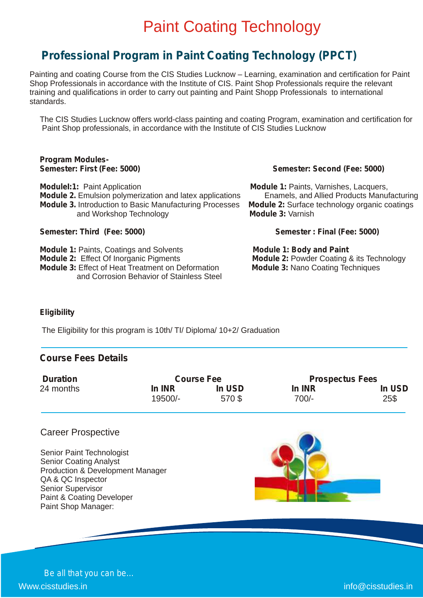### **Professional Program in Paint Coating Technology (PPCT)**

Painting and coating Course from the CIS Studies Lucknow – Learning, examination and certification for Paint Shop Professionals in accordance with the Institute of CIS. Paint Shop Professionals require the relevant training and qualifications in order to carry out painting and Paint Shopp Professionals to international standards.

The CIS Studies Lucknow offers world-class painting and coating Program, examination and certification for Paint Shop professionals, in accordance with the Institute of CIS Studies Lucknow

### **Program Modules-**

**ModuleI:1:** Paint Application **Module 1: Module 1:** Paints, Varnishes, Lacquers, **Module 2.** Emulsion polymerization and latex applications Enamels, and Allied Products Manufacturing **Module 3.** Introduction to Basic Manufacturing Processes **Module 2:** Surface technology organic coatings **Module 3:** Varnish and Workshop Technology

**Semester: Third (Fee: 5000) Semester : Final (Fee: 5000)**

**Module 1: Paints, Coatings and Solvents Module 1: Body and Paint Module 2:** Effect Of Inorganic Pigments **Module 2:** Powder Coating & its Technology **Module 3:** Module 3: Effect of Heat Treatment on Deformation **Module 3:** Nano Coating Techniques **Module 3: Effect of Heat Treatment on Deformation** and Corrosion Behavior of Stainless Steel

#### **Semester: Second (Fee: 5000)**

### **Eligibility**

The Eligibility for this program is 10th/ TI/ Diploma/ 10+2/ Graduation

### **Course Fees Details**

| <b>Duration</b> | <b>Course Fee</b> |        | <b>Prospectus Fees</b> |        |
|-----------------|-------------------|--------|------------------------|--------|
| 24 months       | In INR            | In USD | In INR                 | In USD |
|                 | 19500/-           | 570\$  | $700/-$                | 25\$   |

### Career Prospective

Senior Paint Technologist Senior Coating Analyst Production & Development Manager QA & QC Inspector Senior Supervisor Paint & Coating Developer Paint Shop Manager:

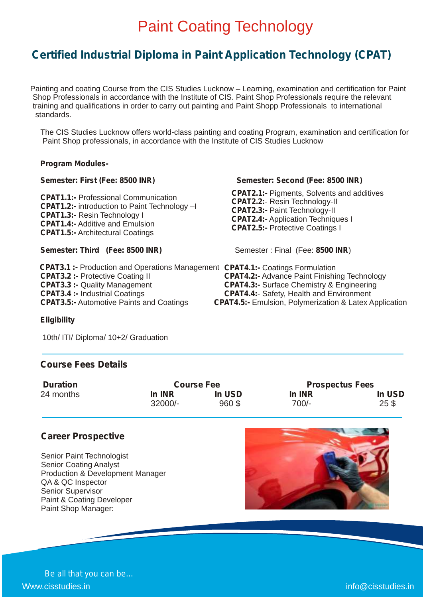### **Certified Industrial Diploma in Paint Application Technology (CPAT)**

Painting and coating Course from the CIS Studies Lucknow – Learning, examination and certification for Paint Shop Professionals in accordance with the Institute of CIS. Paint Shop Professionals require the relevant training and qualifications in order to carry out painting and Paint Shopp Professionals to international standards.

The CIS Studies Lucknow offers world-class painting and coating Program, examination and certification for Paint Shop professionals, in accordance with the Institute of CIS Studies Lucknow

#### **Program Modules-**

**CPAT1.1:-** Professional Communication **CPAT1.2:-** introduction to Paint Technology –I **CPAT1.3:-** Resin Technology I **CPAT1.4:-** Additive and Emulsion **CPAT1.5:-** Architectural Coatings

#### **Semester: Third (Fee: 8500 INR)** Semester: Final (Fee: 8500 INR)

**CPAT3.1 :-** Production and Operations Management **CPAT4.1:-** Coatings Formulation **CPAT3.2 :-** Protective Coating II **CPAT3.3 :-** Quality Management **CPAT3.4 :-** Industrial Coatings **CPAT3.5:-** Automotive Paints and Coatings

#### **Semester: First (Fee: 8500 INR) Semester: Second (Fee: 8500 INR)**

**CPAT2.1:-** Pigments, Solvents and additives **CPAT2.2:**- Resin Technology-II **CPAT2.3:-** Paint Technology-II **CPAT2.4:-** Application Techniques I **CPAT2.5:-** Protective Coatings I

**CPAT4.2:-** Advance Paint Finishing Technology **CPAT4.3:-** Surface Chemistry & Engineering **CPAT4.4:**- Safety, Health and Environment **CPAT4.5:-** Emulsion, Polymerization & Latex Application

#### **Eligibility**

10th/ ITI/ Diploma/ 10+2/ Graduation

### **Course Fees Details**

| <b>Course Fee</b> |           | <b>Prospectus Fees</b> |                           |
|-------------------|-----------|------------------------|---------------------------|
| <b>In INR</b>     | In USD    | In INR                 | In USD<br>25 <sub>3</sub> |
|                   | $32000/-$ | 960\$                  | 700/-                     |

### **Career Prospective**

Senior Paint Technologist Senior Coating Analyst Production & Development Manager QA & QC Inspector Senior Supervisor Paint & Coating Developer Paint Shop Manager:



*Be all that you can be…* Www.cisstudies.in info@cisstudies.in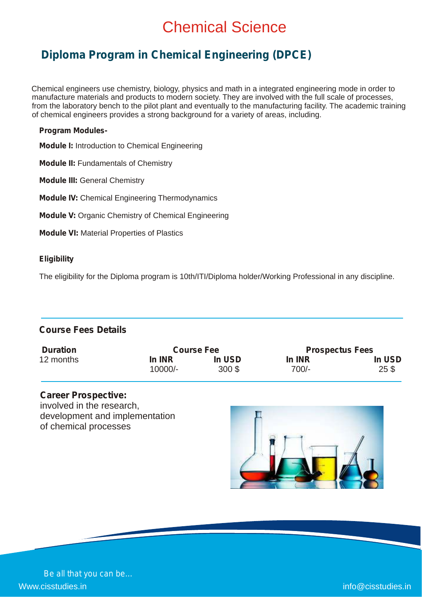### Chemical Science

### **Diploma Program in Chemical Engineering (DPCE)**

 Chemical engineers use chemistry, biology, physics and math in a integrated engineering mode in order to manufacture materials and products to modern society. They are involved with the full scale of processes, from the laboratory bench to the pilot plant and eventually to the manufacturing facility. The academic training of chemical engineers provides a strong background for a variety of areas, including.

#### **Program Modules-**

**Module I:** Introduction to Chemical Engineering

**Module II:** Fundamentals of Chemistry

**Module III:** General Chemistry

**Module IV:** Chemical Engineering Thermodynamics

**Module V:** Organic Chemistry of Chemical Engineering

**Module VI:** Material Properties of Plastics

### **Eligibility**

The eligibility for the Diploma program is 10th/ITI/Diploma holder/Working Professional in any discipline.

### **Course Fees Details**

| <b>Duration</b> | <b>Course Fee</b> |          | <b>Prospectus Fees</b> |        |
|-----------------|-------------------|----------|------------------------|--------|
| 12 months       | In INR            | In USD   | In INR                 | In USD |
|                 | $10000/-$         | $300$ \$ | 700/-                  | 25S    |

### **Career Prospective:**

involved in the research, development and implementation of chemical processes

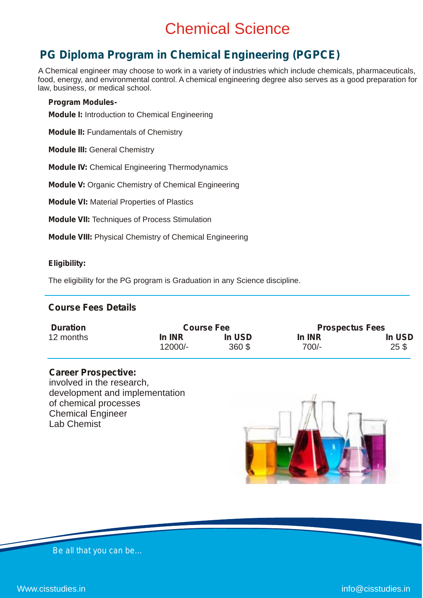### Chemical Science

### **PG Diploma Program in Chemical Engineering (PGPCE)**

A Chemical engineer may choose to work in a variety of industries which include chemicals, pharmaceuticals, food, energy, and environmental control. A chemical engineering degree also serves as a good preparation for law, business, or medical school.

#### **Program Modules-**

**Module I:** Introduction to Chemical Engineering

**Module II:** Fundamentals of Chemistry

**Module III:** General Chemistry

**Module IV:** Chemical Engineering Thermodynamics

**Module V:** Organic Chemistry of Chemical Engineering

**Module VI:** Material Properties of Plastics

**Module VII:** Techniques of Process Stimulation

**Module VIII:** Physical Chemistry of Chemical Engineering

#### **Eligibility:**

The eligibility for the PG program is Graduation in any Science discipline.

### **Course Fees Details**

| <b>Duration</b> | <b>Course Fee</b> |        | <b>Prospectus Fees</b> |                 |
|-----------------|-------------------|--------|------------------------|-----------------|
| 12 months       | In INR            | In USD | In INR                 | In USD          |
|                 | 12000/-           | 360 \$ | $700/-$                | 25 <sup>3</sup> |

### **Career Prospective:**

involved in the research, development and implementation of chemical processes Chemical Engineer Lab Chemist

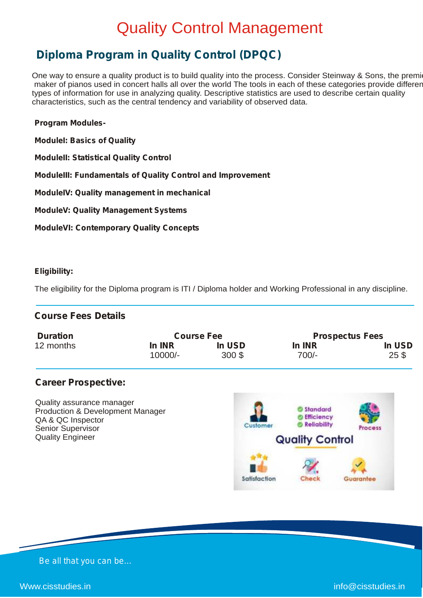### Quality Control Management

### **Diploma Program in Quality Control (DPQC)**

One way to ensure a quality product is to build quality into the process. Consider Steinway & Sons, the premi maker of pianos used in concert halls all over the world The tools in each of these categories provide different types of information for use in analyzing quality. Descriptive statistics are used to describe certain quality characteristics, such as the central tendency and variability of observed data.

### **Program Modules-**

**ModuleI: Basics of Quality**

**ModuleII: Statistical Quality Control**

**ModuleIII: Fundamentals of Quality Control and Improvement**

**ModuleIV: Quality management in mechanical**

**ModuleV: Quality Management Systems**

**ModuleVI: Contemporary Quality Concepts**

### **Eligibility:**

The eligibility for the Diploma program is ITI / Diploma holder and Working Professional in any discipline.

### **Course Fees Details**

| <b>Duration</b> | <b>Course Fee</b> |          | <b>Prospectus Fees</b> |                 |
|-----------------|-------------------|----------|------------------------|-----------------|
| 12 months       | In INR            | In USD   | In INR                 | In USD          |
|                 | $10000/-$         | $300$ \$ | $700/-$                | 25 <sup>3</sup> |

### **Career Prospective:**

Quality assurance manager Production & Development Manager QA & QC Inspector Senior Supervisor Quality Engineer

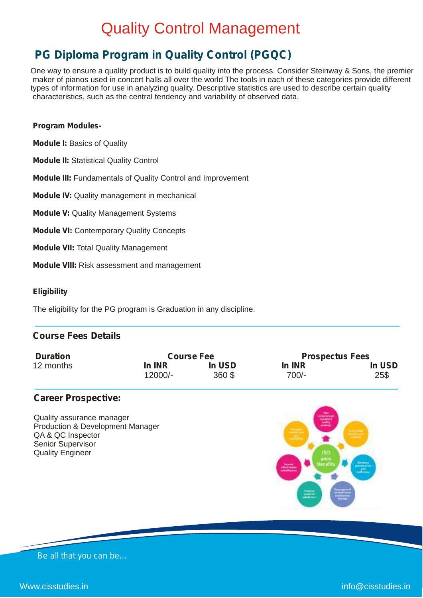### Quality Control Management

### **PG Diploma Program in Quality Control (PGQC)**

One way to ensure a quality product is to build quality into the process. Consider Steinway & Sons, the premier maker of pianos used in concert halls all over the world The tools in each of these categories provide different types of information for use in analyzing quality. Descriptive statistics are used to describe certain quality characteristics, such as the central tendency and variability of observed data.

#### **Program Modules-**

**Module I:** Basics of Quality

**Module II:** Statistical Quality Control

**Module III:** Fundamentals of Quality Control and Improvement

**Module IV:** Quality management in mechanical

**Module V:** Quality Management Systems

**Module VI:** Contemporary Quality Concepts

**Module VII:** Total Quality Management

**Module VIII:** Risk assessment and management

#### **Eligibility**

The eligibility for the PG program is Graduation in any discipline.

### **Course Fees Details**

| <b>Duration</b> | <b>Course Fee</b> |        | <b>Prospectus Fees</b> |        |
|-----------------|-------------------|--------|------------------------|--------|
| 12 months       | In INR            | In USD | In INR                 | In USD |
|                 | 12000/-           | 360 \$ | 700/-                  | 25\$   |

#### **Career Prospective:**

Quality assurance manager Production & Development Manager QA & QC Inspector Senior Supervisor Quality Engineer

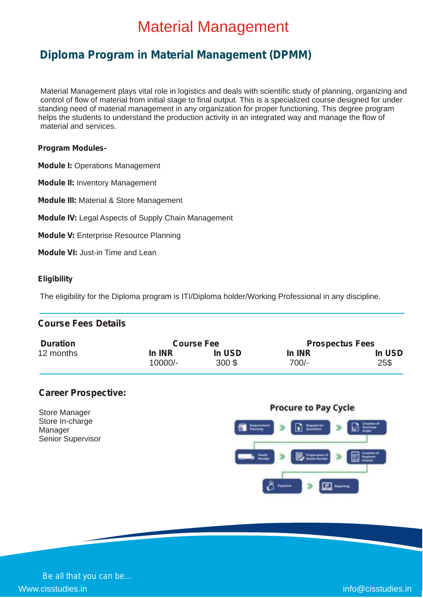### Material Management

### **Diploma Program in Material Management (DPMM)**

Material Management plays vital role in logistics and deals with scientific study of planning, organizing and control of flow of material from initial stage to final output. This is a specialized course designed for under standing need of material management in any organization for proper functioning. This degree program helps the students to understand the production activity in an integrated way and manage the flow of material and services.

#### **Program Modules-**

**Module I:** Operations Management

**Module II:** Inventory Management

**Module III:** Material & Store Management

**Module IV:** Legal Aspects of Supply Chain Management

**Module V:** Enterprise Resource Planning

**Module VI:** Just-in Time and Lean

#### **Eligibility**

The eligibility for the Diploma program is ITI/Diploma holder/Working Professional in any discipline.

### **Course Fees Details**

| <b>Duration</b> | <b>Course Fee</b> |        | <b>Prospectus Fees</b> |        |
|-----------------|-------------------|--------|------------------------|--------|
| 12 months       | In INR            | In USD | In INR                 | In USD |
|                 | 10000/-           | 300S   | $700/-$                | 25\$   |

### **Career Prospective:**

Store Manager Store In-charge Manager Senior Supervisor

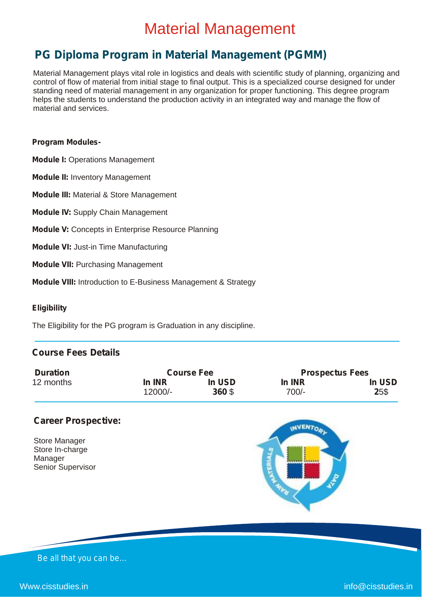### Material Management

### **PG Diploma Program in Material Management (PGMM)**

Material Management plays vital role in logistics and deals with scientific study of planning, organizing and control of flow of material from initial stage to final output. This is a specialized course designed for under standing need of material management in any organization for proper functioning. This degree program helps the students to understand the production activity in an integrated way and manage the flow of material and services.

#### **Program Modules-**

**Module I:** Operations Management

**Module II:** Inventory Management

**Module III:** Material & Store Management

**Module IV:** Supply Chain Management

**Module V:** Concepts in Enterprise Resource Planning

**Module VI:** Just-in Time Manufacturing

**Module VII:** Purchasing Management

**Module VIII:** Introduction to E-Business Management & Strategy

#### **Eligibility**

The Eligibility for the PG program is Graduation in any discipline.

### **Course Fees Details**

| <b>Duration</b> | <b>Course Fee</b> |        | <b>Prospectus Fees</b> |        |
|-----------------|-------------------|--------|------------------------|--------|
| 12 months       | In INR            | In USD | In INR                 | In USD |
|                 | 12000/-           | 360 \$ | $700/-$                | 25\$   |

#### **Career Prospective:**

| <b>Senior Supervisor</b> |
|--------------------------|
|                          |



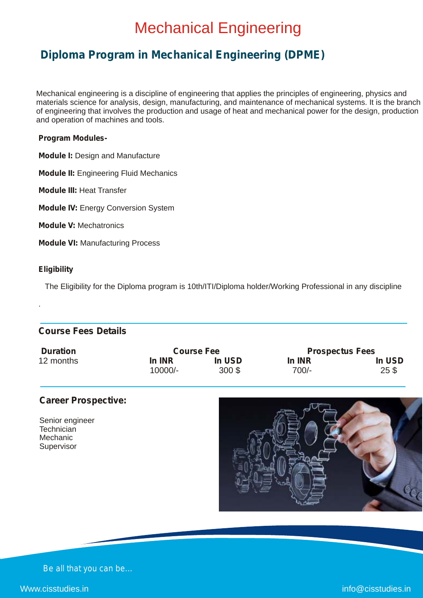### Mechanical Engineering

### **Diploma Program in Mechanical Engineering (DPME)**

Mechanical engineering is a discipline of engineering that applies the principles of engineering, physics and materials science for analysis, design, manufacturing, and maintenance of mechanical systems. It is the branch of engineering that involves the production and usage of heat and mechanical power for the design, production and operation of machines and tools.

#### **Program Modules-**

**Module I:** Design and Manufacture

**Module II:** Engineering Fluid Mechanics

**Module III:** Heat Transfer

**Module IV: Energy Conversion System** 

**Module V:** Mechatronics

**Module VI:** Manufacturing Process

#### **Eligibility**

.

The Eligibility for the Diploma program is 10th/ITI/Diploma holder/Working Professional in any discipline

### **Course Fees Details**

| <b>Duration</b> | <b>Course Fee</b> |          | <b>Prospectus Fees</b> |                 |
|-----------------|-------------------|----------|------------------------|-----------------|
| 12 months       | In INR            | In USD   | In INR                 | In USD          |
|                 | 10000/-           | $300$ \$ | 700/-                  | 25 <sub>3</sub> |

### **Career Prospective:**

Senior engineer **Technician** Mechanic Supervisor



*Be all that you can be…*

Www.cisstudies.in info@cisstudies.in info@cisstudies.in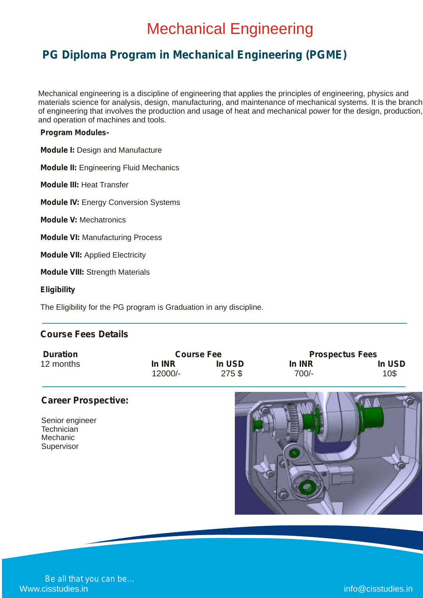### Mechanical Engineering

### **PG Diploma Program in Mechanical Engineering (PGME)**

Mechanical engineering is a discipline of engineering that applies the principles of engineering, physics and materials science for analysis, design, manufacturing, and maintenance of mechanical systems. It is the branch of engineering that involves the production and usage of heat and mechanical power for the design, production, and operation of machines and tools.

#### **Program Modules-**

**Module I:** Design and Manufacture

**Module II:** Engineering Fluid Mechanics

**Module III:** Heat Transfer

**Module IV:** Energy Conversion Systems

**Module V:** Mechatronics

**Module VI:** Manufacturing Process

**Module VII:** Applied Electricity

**Module VIII:** Strength Materials

**Eligibility**

The Eligibility for the PG program is Graduation in any discipline.

### **Course Fees Details**

| <b>Duration</b> | <b>Course Fee</b> |        | <b>Prospectus Fees</b> |        |
|-----------------|-------------------|--------|------------------------|--------|
| 12 months       | In INR            | In USD | In INR                 | In USD |
|                 | $12000/-$         | 275\$  | 700/-                  | 10\$   |

### **Career Prospective:**

Senior engineer **Technician** Mechanic Supervisor

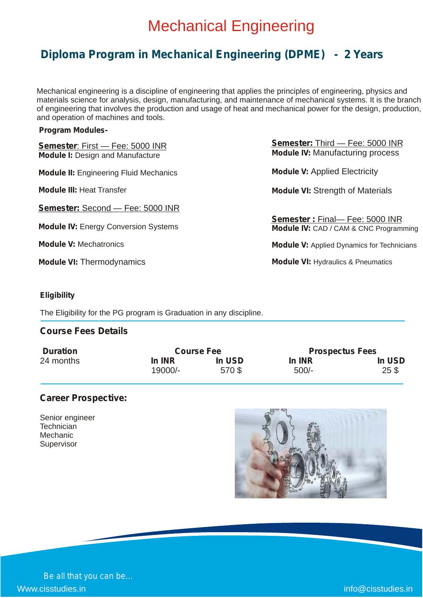### Mechanical Engineering

### **Diploma Program in Mechanical Engineering (DPME) - 2 Years**

Mechanical engineering is a discipline of engineering that applies the principles of engineering, physics and materials science for analysis, design, manufacturing, and maintenance of mechanical systems. It is the branch of engineering that involves the production and usage of heat and mechanical power for the design, production, and operation of machines and tools.

#### **Program Modules-**

| <b>Semester: First - Fee: 5000 INR</b><br><b>Module I: Design and Manufacture</b> | Semester: Third - Fee: 5000 INR<br><b>Module IV: Manufacturing process</b>     |
|-----------------------------------------------------------------------------------|--------------------------------------------------------------------------------|
| <b>Module II:</b> Engineering Fluid Mechanics                                     | <b>Module V: Applied Electricity</b>                                           |
| <b>Module III: Heat Transfer</b>                                                  | <b>Module VI: Strength of Materials</b>                                        |
| <b>Semester: Second - Fee: 5000 INR</b>                                           |                                                                                |
| <b>Module IV: Energy Conversion Systems</b>                                       | Semester: Final-Fee: 5000 INR<br><b>Module IV:</b> CAD / CAM & CNC Programming |
| <b>Module V: Mechatronics</b>                                                     | <b>Module V:</b> Applied Dynamics for Technicians                              |
| <b>Module VI: Thermodynamics</b>                                                  | <b>Module VI: Hydraulics &amp; Pneumatics</b>                                  |

### **Eligibility**

The Eligibility for the PG program is Graduation in any discipline.

### **Course Fees Details**

| <b>Duration</b> | <b>Course Fee</b> |        | <b>Prospectus Fees</b> |                    |
|-----------------|-------------------|--------|------------------------|--------------------|
| 24 months       | In INR            | In USD | In INR                 | In USD             |
|                 | 19000/-           | 570 \$ | $500/-$                | $25$ $\frac{6}{3}$ |

### **Career Prospective:**

Senior engineer **Technician** Mechanic Supervisor

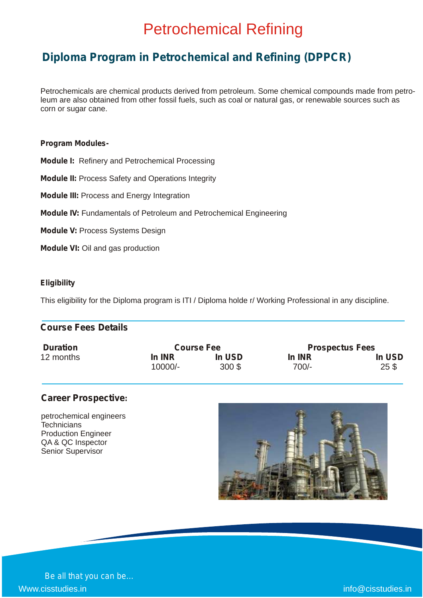### Petrochemical Refining

### **Diploma Program in Petrochemical and Refining (DPPCR)**

Petrochemicals are chemical products derived from petroleum. Some chemical compounds made from petroleum are also obtained from other fossil fuels, such as coal or natural gas, or renewable sources such as corn or sugar cane.

#### **Program Modules-**

**Module I:** Refinery and Petrochemical Processing

**Module II:** Process Safety and Operations Integrity

**Module III:** Process and Energy Integration

**Module IV:** Fundamentals of Petroleum and Petrochemical Engineering

**Module V: Process Systems Design** 

**Module VI:** Oil and gas production

#### **Eligibility**

This eligibility for the Diploma program is ITI / Diploma holde r/ Working Professional in any discipline.

### **Course Fees Details**

| <b>Duration</b> | <b>Course Fee</b> |               | <b>Prospectus Fees</b> |        |
|-----------------|-------------------|---------------|------------------------|--------|
| 12 months       | In INR            | <b>In USD</b> | In INR                 | In USD |
|                 | 10000/-           | $300$ \$      | 700/-                  | 25S    |

### **Career Prospective:**

petrochemical engineers **Technicians** Production Engineer QA & QC Inspector Senior Supervisor

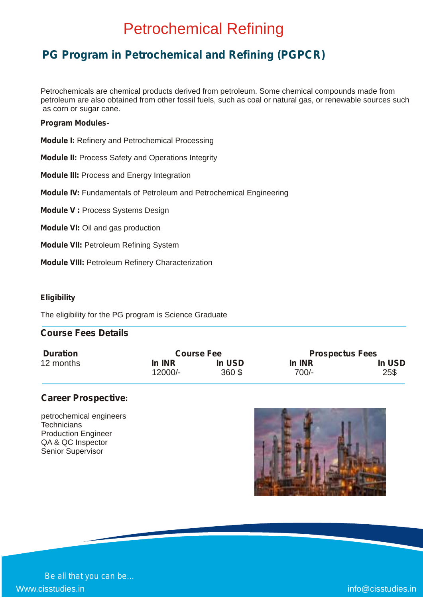### Petrochemical Refining

### **PG Program in Petrochemical and Refining (PGPCR)**

Petrochemicals are chemical products derived from petroleum. Some chemical compounds made from petroleum are also obtained from other fossil fuels, such as coal or natural gas, or renewable sources such as corn or sugar cane.

#### **Program Modules-**

**Module I:** Refinery and Petrochemical Processing

**Module II:** Process Safety and Operations Integrity

**Module III:** Process and Energy Integration

**Module IV:** Fundamentals of Petroleum and Petrochemical Engineering

**Module V :** Process Systems Design

**Module VI:** Oil and gas production

**Module VII:** Petroleum Refining System

**Module VIII:** Petroleum Refinery Characterization

#### **Eligibility**

The eligibility for the PG program is Science Graduate

### **Course Fees Details**

| <b>Duration</b> | <b>Course Fee</b> |        | <b>Prospectus Fees</b> |        |
|-----------------|-------------------|--------|------------------------|--------|
| 12 months       | In INR            | In USD | In INR                 | In USD |
|                 | 12000/-           | 360\$  | $700/-$                | 25\$   |

### **Career Prospective:**

petrochemical engineers **Technicians** Production Engineer QA & QC Inspector Senior Supervisor

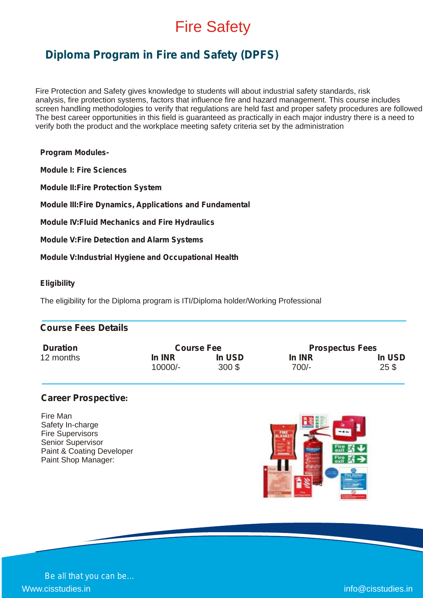### Fire Safety

### **Diploma Program in Fire and Safety (DPFS)**

Fire Protection and Safety gives knowledge to students will about industrial safety standards, risk analysis, fire protection systems, factors that influence fire and hazard management. This course includes screen handling methodologies to verify that regulations are held fast and proper safety procedures are followed The best career opportunities in this field is guaranteed as practically in each major industry there is a need to verify both the product and the workplace meeting safety criteria set by the administration

**Program Modules-**

**Module I: Fire Sciences**

**Module II:Fire Protection System**

**Module III:Fire Dynamics, Applications and Fundamental**

**Module IV:Fluid Mechanics and Fire Hydraulics**

**Module V:Fire Detection and Alarm Systems**

**Module V:Industrial Hygiene and Occupational Health**

#### **Eligibility**

The eligibility for the Diploma program is ITI/Diploma holder/Working Professional

|  | <b>Course Fees Details</b> |  |
|--|----------------------------|--|
|--|----------------------------|--|

| <b>Duration</b> | <b>Course Fee</b> |        | <b>Prospectus Fees</b> |                 |
|-----------------|-------------------|--------|------------------------|-----------------|
| 12 months       | In INR            | In USD | In INR                 | In USD          |
|                 | 10000/-           | 300S   | 700/-                  | 25 <sub>3</sub> |

### **Career Prospective:**

Fire Man Safety In-charge Fire Supervisors Senior Supervisor Paint & Coating Developer Paint Shop Manager:

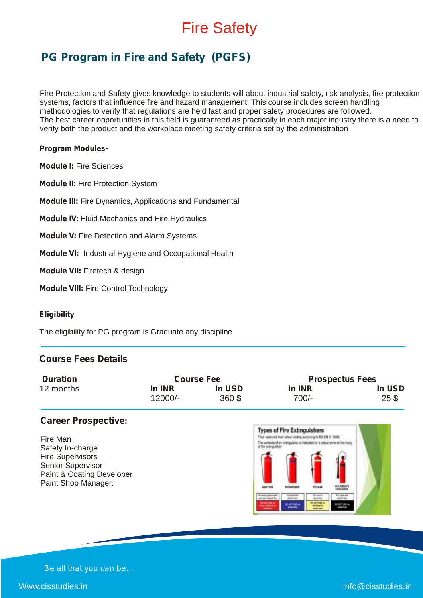### Fire Safety

### **PG Program in Fire and Safety (PGFS)**

Fire Protection and Safety gives knowledge to students will about industrial safety, risk analysis, fire protection systems, factors that influence fire and hazard management. This course includes screen handling methodologies to verify that regulations are held fast and proper safety procedures are followed. The best career opportunities in this field is guaranteed as practically in each major industry there is a need to verify both the product and the workplace meeting safety criteria set by the administration

#### **Program Modules-**

**Module I:** Fire Sciences

**Module II:** Fire Protection System

**Module III:** Fire Dynamics, Applications and Fundamental

**Module IV:** Fluid Mechanics and Fire Hydraulics

**Module V:** Fire Detection and Alarm Systems

**Module VI:** Industrial Hygiene and Occupational Health

**Module VII:** Firetech & design

**Module VIII:** Fire Control Technology

#### **Eligibility**

The eligibility for PG program is Graduate any discipline

### **Course Fees Details**

| <b>Duration</b> | <b>Course Fee</b> |        | <b>Prospectus Fees</b> |        |
|-----------------|-------------------|--------|------------------------|--------|
| 12 months       | In INR            | In USD | In INR                 | In USD |
|                 | 12000/-           | 360 \$ | 700/-                  | 25S    |

### **Career Prospective:**

Fire Man Safety In-charge Fire Supervisors Senior Supervisor Paint & Coating Developer Paint Shop Manager:

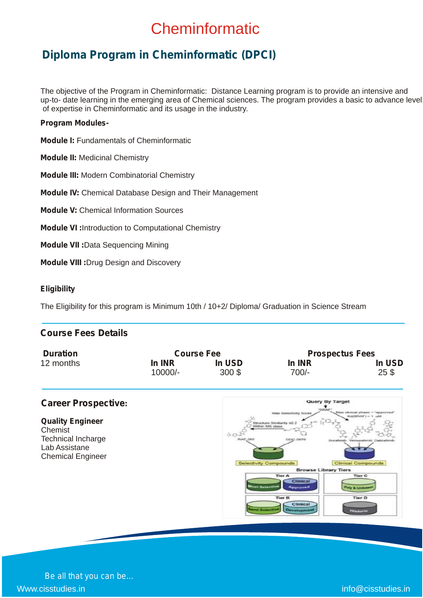### **Cheminformatic**

### **Diploma Program in Cheminformatic (DPCI)**

The objective of the Program in Cheminformatic: Distance Learning program is to provide an intensive and up-to- date learning in the emerging area of Chemical sciences. The program provides a basic to advance level of expertise in Cheminformatic and its usage in the industry.

#### **Program Modules-**

**Module I:** Fundamentals of Cheminformatic

**Module II:** Medicinal Chemistry

**Module III:** Modern Combinatorial Chemistry

**Module IV:** Chemical Database Design and Their Management

**Module V:** Chemical Information Sources

**Module VI :**Introduction to Computational Chemistry

**Module VII :**Data Sequencing Mining

**Module VIII :**Drug Design and Discovery

#### **Eligibility**

The Eligibility for this program is Minimum 10th / 10+2/ Diploma/ Graduation in Science Stream

### **Course Fees Details**

| <b>Duration</b> | <b>Course Fee</b> |          | <b>Prospectus Fees</b> |                 |
|-----------------|-------------------|----------|------------------------|-----------------|
| 12 months       | In INR            | In USD   | In INR                 | In USD          |
|                 | $10000/-$         | $300$ \$ | $700/-$                | 25 <sub>3</sub> |

### Query By Target **Career Prospective: Quality Engineer Chemist**  $\Lambda$ Technical Incharge Lab Assistane Chemical Engineer c Bu **Library Ti**

*Be all that you can be…* Www.cisstudies.in info@cisstudies.in info@cisstudies.in info@cisstudies.in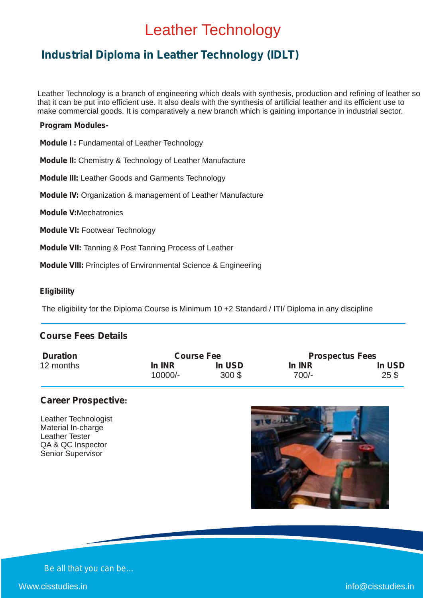### Leather Technology

### **Industrial Diploma in Leather Technology (IDLT)**

Leather Technology is a branch of engineering which deals with synthesis, production and refining of leather so that it can be put into efficient use. It also deals with the synthesis of artificial leather and its efficient use to make commercial goods. It is comparatively a new branch which is gaining importance in industrial sector.

#### **Program Modules-**

**Module I :** Fundamental of Leather Technology

**Module II:** Chemistry & Technology of Leather Manufacture

**Module III:** Leather Goods and Garments Technology

**Module IV:** Organization & management of Leather Manufacture

**Module V:**Mechatronics

**Module VI:** Footwear Technology

**Module VII:** Tanning & Post Tanning Process of Leather

**Module VIII:** Principles of Environmental Science & Engineering

#### **Eligibility**

The eligibility for the Diploma Course is Minimum 10 +2 Standard / ITI/ Diploma in any discipline

### **Course Fees Details**

| <b>Duration</b> | <b>Course Fee</b> |        | <b>Prospectus Fees</b> |                 |
|-----------------|-------------------|--------|------------------------|-----------------|
| 12 months       | In INR            | In USD | In INR                 | In USD          |
|                 | 10000/-           | 300S   | $700/-$                | 25 <sup>3</sup> |

### **Career Prospective:**

Leather Technologist Material In-charge Leather Tester QA & QC Inspector Senior Supervisor

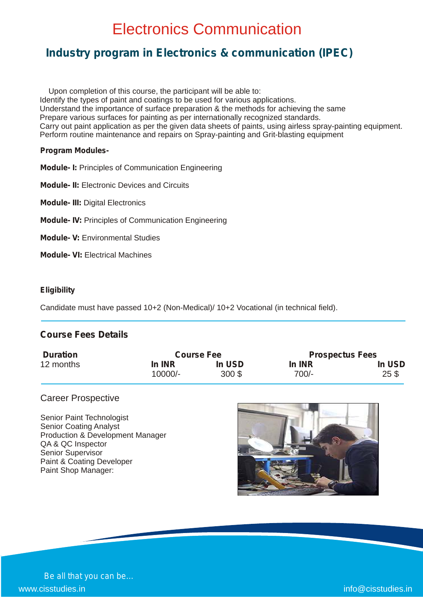### Electronics Communication

### **Industry program in Electronics & communication (IPEC)**

 Upon completion of this course, the participant will be able to: Identify the types of paint and coatings to be used for various applications. Understand the importance of surface preparation & the methods for achieving the same Prepare various surfaces for painting as per internationally recognized standards. Carry out paint application as per the given data sheets of paints, using airless spray-painting equipment. Perform routine maintenance and repairs on Spray-painting and Grit-blasting equipment

#### **Program Modules-**

**Module- I:** Principles of Communication Engineering

**Module- II:** Electronic Devices and Circuits

**Module- III:** Digital Electronics

**Module- IV:** Principles of Communication Engineering

**Module- V:** Environmental Studies

**Module- VI:** Electrical Machines

#### **Eligibility**

Candidate must have passed 10+2 (Non-Medical)/ 10+2 Vocational (in technical field).

### **Course Fees Details**

| <b>Duration</b> | <b>Course Fee</b> |        |         | <b>Prospectus Fees</b> |  |
|-----------------|-------------------|--------|---------|------------------------|--|
| 12 months       | In INR            | In USD | In INR  | In USD                 |  |
|                 | 10000/-           | 300S   | $700/-$ | 25 <sup>3</sup>        |  |

#### Career Prospective

Senior Paint Technologist Senior Coating Analyst Production & Development Manager QA & QC Inspector Senior Supervisor Paint & Coating Developer Paint Shop Manager:

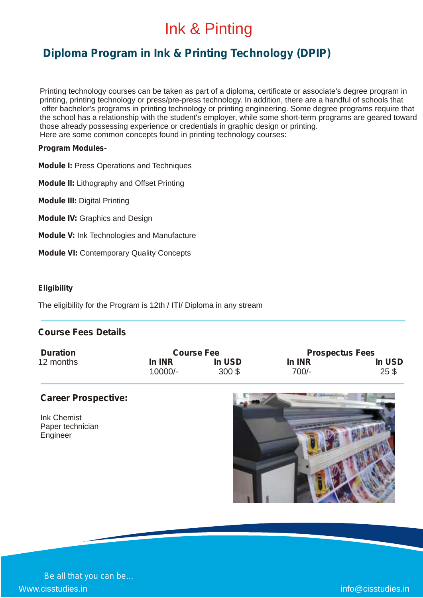### Ink & Pinting

### **Diploma Program in Ink & Printing Technology (DPIP)**

Printing technology courses can be taken as part of a diploma, certificate or associate's degree program in printing, printing technology or press/pre-press technology. In addition, there are a handful of schools that offer bachelor's programs in printing technology or printing engineering. Some degree programs require that the school has a relationship with the student's employer, while some short-term programs are geared toward those already possessing experience or credentials in graphic design or printing. Here are some common concepts found in printing technology courses:

#### **Program Modules-**

**Module I:** Press Operations and Techniques

**Module II:** Lithography and Offset Printing

**Module III:** Digital Printing

**Module IV:** Graphics and Design

**Module V:** Ink Technologies and Manufacture

**Module VI:** Contemporary Quality Concepts

#### **Eligibility**

The eligibility for the Program is 12th / ITI/ Diploma in any stream

### **Course Fees Details**

| <b>Duration</b> | <b>Course Fee</b> |          | <b>Prospectus Fees</b> |                 |
|-----------------|-------------------|----------|------------------------|-----------------|
| 12 months       | In INR            | In USD   | In INR                 | In USD          |
|                 | $10000/-$         | $300$ \$ | $700/-$                | 25 <sup>°</sup> |

### **Career Prospective:**

Ink Chemist Paper technician **Engineer** 

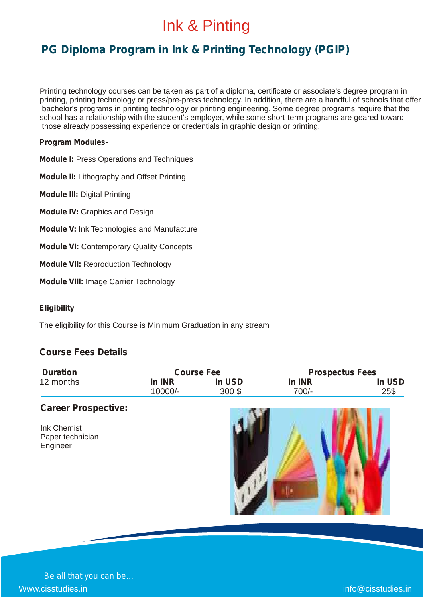### Ink & Pinting

### **PG Diploma Program in Ink & Printing Technology (PGIP)**

Printing technology courses can be taken as part of a diploma, certificate or associate's degree program in printing, printing technology or press/pre-press technology. In addition, there are a handful of schools that offer bachelor's programs in printing technology or printing engineering. Some degree programs require that the school has a relationship with the student's employer, while some short-term programs are geared toward those already possessing experience or credentials in graphic design or printing.

#### **Program Modules-**

**Module I:** Press Operations and Techniques

**Module II:** Lithography and Offset Printing

**Module III:** Digital Printing

**Module IV:** Graphics and Design

**Module V:** Ink Technologies and Manufacture

**Module VI:** Contemporary Quality Concepts

**Module VII:** Reproduction Technology

**Module VIII:** Image Carrier Technology

#### **Eligibility**

The eligibility for this Course is Minimum Graduation in any stream

### **Course Fees Details**

| <b>Duration</b> | <b>Course Fee</b> |          | <b>Prospectus Fees</b> |        |
|-----------------|-------------------|----------|------------------------|--------|
| 12 months       | In INR            | In USD   | In INR                 | In USD |
|                 | 10000/-           | $300$ \$ | $700/-$                | 25\$   |

### **Career Prospective:**

| <b>Ink Chemist</b> |
|--------------------|
| Paper technician   |
| Engineer           |

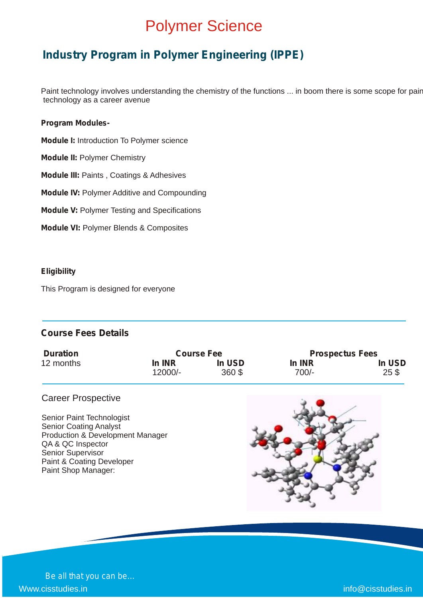### Polymer Science

### **Industry Program in Polymer Engineering (IPPE)**

Paint technology involves understanding the chemistry of the functions ... in boom there is some scope for pair technology as a career avenue

#### **Program Modules-**

- **Module I:** Introduction To Polymer science
- **Module II:** Polymer Chemistry
- **Module III:** Paints , Coatings & Adhesives
- **Module IV:** Polymer Additive and Compounding
- **Module V:** Polymer Testing and Specifications
- **Module VI:** Polymer Blends & Composites

#### **Eligibility**

This Program is designed for everyone

### **Course Fees Details**

| <b>Duration</b> | <b>Course Fee</b> |        | <b>Prospectus Fees</b> |                 |
|-----------------|-------------------|--------|------------------------|-----------------|
| 12 months       | In INR            | In USD | In INR                 | In USD          |
|                 | 12000/-           | 360 \$ | 700/-                  | 25 <sub>3</sub> |

### Career Prospective

Senior Paint Technologist Senior Coating Analyst Production & Development Manager QA & QC Inspector Senior Supervisor Paint & Coating Developer Paint Shop Manager:

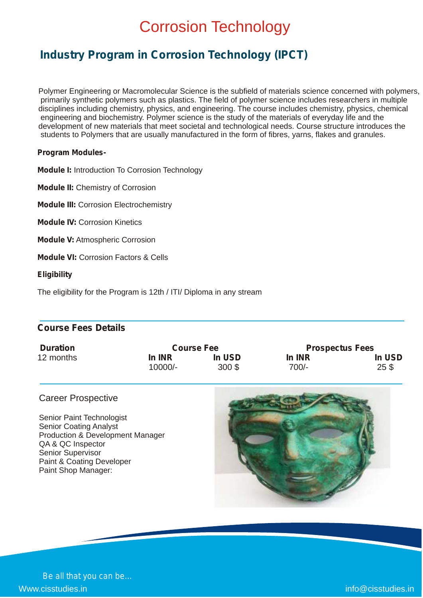### Corrosion Technology

### **Industry Program in Corrosion Technology (IPCT)**

Polymer Engineering or Macromolecular Science is the subfield of materials science concerned with polymers, primarily synthetic polymers such as plastics. The field of polymer science includes researchers in multiple disciplines including chemistry, physics, and engineering. The course includes chemistry, physics, chemical engineering and biochemistry. Polymer science is the study of the materials of everyday life and the development of new materials that meet societal and technological needs. Course structure introduces the students to Polymers that are usually manufactured in the form of fibres, yarns, flakes and granules.

#### **Program Modules-**

**Module I:** Introduction To Corrosion Technology

**Module II:** Chemistry of Corrosion

**Module III:** Corrosion Electrochemistry

**Module IV:** Corrosion Kinetics

**Module V:** Atmospheric Corrosion

**Module VI:** Corrosion Factors & Cells

#### **Eligibility**

The eligibility for the Program is 12th / ITI/ Diploma in any stream

### **Course Fees Details**

| <b>Duration</b> | <b>Course Fee</b> |        | <b>Prospectus Fees</b> |                 |
|-----------------|-------------------|--------|------------------------|-----------------|
| 12 months       | In INR            | In USD | In INR                 | In USD          |
|                 | $10000/-$         | 300S   | 700/-                  | 25 <sub>3</sub> |

#### Career Prospective

Senior Paint Technologist Senior Coating Analyst Production & Development Manager QA & QC Inspector Senior Supervisor Paint & Coating Developer Paint Shop Manager:



*Be all that you can be…* Www.cisstudies.in info@cisstudies.in info@cisstudies.in info@cisstudies.in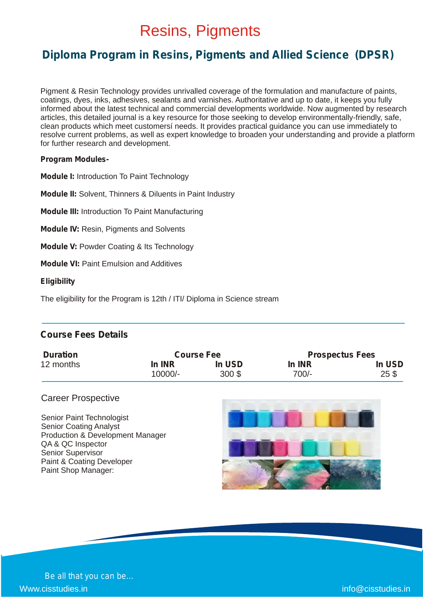### Resins, Pigments

### **Diploma Program in Resins, Pigments and Allied Science (DPSR)**

Pigment & Resin Technology provides unrivalled coverage of the formulation and manufacture of paints, coatings, dyes, inks, adhesives, sealants and varnishes. Authoritative and up to date, it keeps you fully informed about the latest technical and commercial developments worldwide. Now augmented by research articles, this detailed journal is a key resource for those seeking to develop environmentally-friendly, safe, clean products which meet customersí needs. It provides practical guidance you can use immediately to resolve current problems, as well as expert knowledge to broaden your understanding and provide a platform for further research and development.

#### **Program Modules-**

**Module I:** Introduction To Paint Technology

**Module II:** Solvent, Thinners & Diluents in Paint Industry

**Module III:** Introduction To Paint Manufacturing

**Module IV:** Resin, Pigments and Solvents

**Module V:** Powder Coating & Its Technology

**Module VI:** Paint Emulsion and Additives

#### **Eligibility**

The eligibility for the Program is 12th / ITI/ Diploma in Science stream

### **Course Fees Details**

| <b>Duration</b> | <b>Course Fee</b> |          | <b>Prospectus Fees</b> |        |
|-----------------|-------------------|----------|------------------------|--------|
| 12 months       | <b>In INR</b>     | In USD   | In INR                 | In USD |
|                 | 10000/-           | $300$ \$ | $700/-$                | 25S    |

#### Career Prospective

Senior Paint Technologist Senior Coating Analyst Production & Development Manager QA & QC Inspector Senior Supervisor Paint & Coating Developer Paint Shop Manager:



*Be all that you can be…* www.cisstudies.in info@cisstudies.in info@cisstudies.in info@cisstudies.in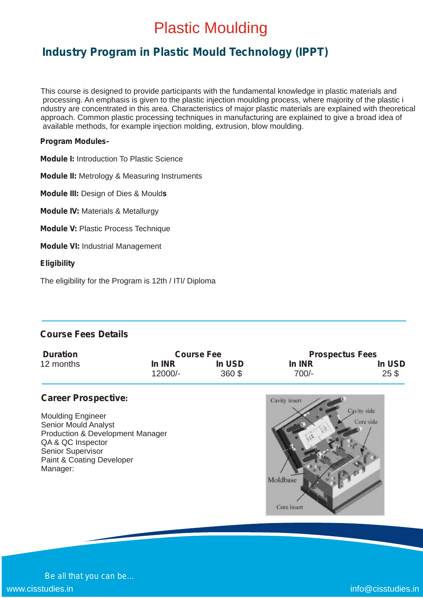### Plastic Moulding

### **Industry Program in Plastic Mould Technology (IPPT)**

This course is designed to provide participants with the fundamental knowledge in plastic materials and processing. An emphasis is given to the plastic injection moulding process, where majority of the plastic i ndustry are concentrated in this area. Characteristics of major plastic materials are explained with theoretical approach. Common plastic processing techniques in manufacturing are explained to give a broad idea of available methods, for example injection molding, extrusion, blow moulding.

#### **Program Modules-**

**Module I:** Introduction To Plastic Science

**Module II:** Metrology & Measuring Instruments

**Module III:** Design of Dies & Mould**s**

**Module IV:** Materials & Metallurgy

**Module V:** Plastic Process Technique

**Module VI:** Industrial Management

#### **Eligibility**

The eligibility for the Program is 12th / ITI/ Diploma

### **Course Fees Details**

| <b>Duration</b> | <b>Course Fee</b> |        | <b>Prospectus Fees</b> |                 |
|-----------------|-------------------|--------|------------------------|-----------------|
| 12 months       | In INR            | In USD | In INR                 | In USD          |
|                 | $12000/-$         | 360\$  | $700/-$                | 25 <sup>°</sup> |

### **Career Prospective:**

Moulding Engineer Senior Mould Analyst Production & Development Manager QA & QC Inspector Senior Supervisor Paint & Coating Developer Manager:



*Be all that you can be…* www.cisstudies.in info@cisstudies.in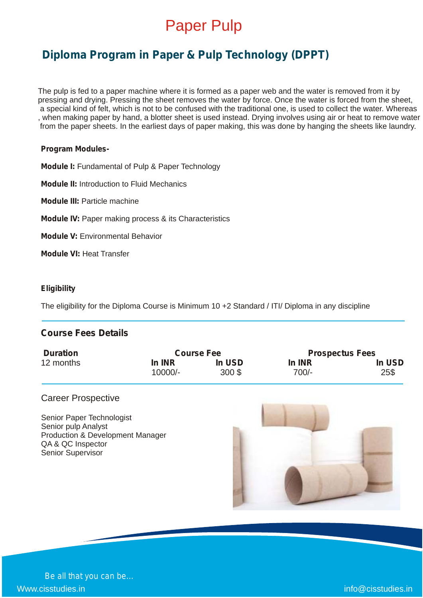

### **Diploma Program in Paper & Pulp Technology (DPPT)**

The pulp is fed to a paper machine where it is formed as a paper web and the water is removed from it by pressing and drying. Pressing the sheet removes the water by force. Once the water is forced from the sheet, a special kind of felt, which is not to be confused with the traditional one, is used to collect the water. Whereas , when making paper by hand, a blotter sheet is used instead. Drying involves using air or heat to remove water from the paper sheets. In the earliest days of paper making, this was done by hanging the sheets like laundry.

#### **Program Modules-**

**Module I:** Fundamental of Pulp & Paper Technology

**Module II:** Introduction to Fluid Mechanics

**Module III:** Particle machine

**Module IV:** Paper making process & its Characteristics

**Module V:** Environmental Behavior

**Module VI:** Heat Transfer

#### **Eligibility**

The eligibility for the Diploma Course is Minimum 10 +2 Standard / ITI/ Diploma in any discipline

### **Course Fees Details**

| <b>Duration</b> | <b>Prospectus Fees</b><br><b>Course Fee</b> |        |        |        |
|-----------------|---------------------------------------------|--------|--------|--------|
| 12 months       | In INR                                      | In USD | In INR | In USD |
|                 | 10000/-                                     | 300S   | 700/-  | 25\$   |

#### Career Prospective

Senior Paper Technologist Senior pulp Analyst Production & Development Manager QA & QC Inspector Senior Supervisor

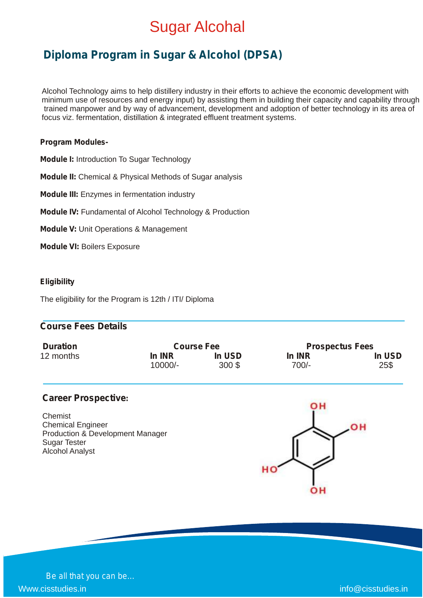### Sugar Alcohal

### **Diploma Program in Sugar & Alcohol (DPSA)**

Alcohol Technology aims to help distillery industry in their efforts to achieve the economic development with minimum use of resources and energy input) by assisting them in building their capacity and capability through trained manpower and by way of advancement, development and adoption of better technology in its area of focus viz. fermentation, distillation & integrated effluent treatment systems.

#### **Program Modules-**

**Module I:** Introduction To Sugar Technology

**Module II:** Chemical & Physical Methods of Sugar analysis

**Module III:** Enzymes in fermentation industry

**Module IV:** Fundamental of Alcohol Technology & Production

**Module V:** Unit Operations & Management

**Module VI:** Boilers Exposure

#### **Eligibility**

The eligibility for the Program is 12th / ITI/ Diploma

### **Course Fees Details**

| <b>Duration</b> | <b>Course Fee</b> |          | <b>Prospectus Fees</b> |        |
|-----------------|-------------------|----------|------------------------|--------|
| 12 months       | In INR            | In USD   | In INR                 | In USD |
|                 | $10000/-$         | $300$ \$ | 700/-                  | 25\$   |

#### **Career Prospective:**

**Chemist** Chemical Engineer Production & Development Manager Sugar Tester Alcohol Analyst

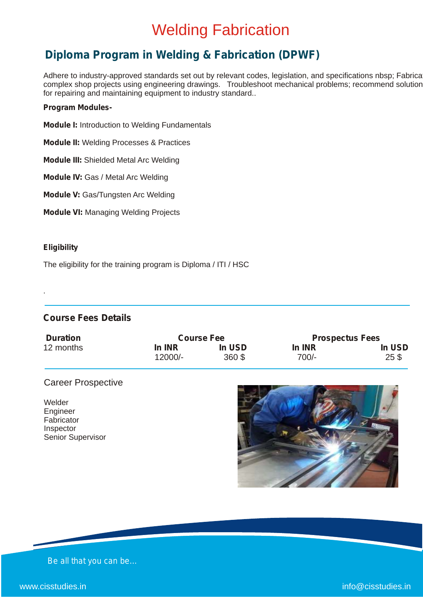### Welding Fabrication

### **Diploma Program in Welding & Fabrication (DPWF)**

Adhere to industry-approved standards set out by relevant codes, legislation, and specifications nbsp; Fabrica complex shop projects using engineering drawings. Troubleshoot mechanical problems; recommend solution for repairing and maintaining equipment to industry standard..

#### **Program Modules-**

- **Module I:** Introduction to Welding Fundamentals
- **Module II:** Welding Processes & Practices
- **Module III:** Shielded Metal Arc Welding
- **Module IV:** Gas / Metal Arc Welding
- **Module V:** Gas/Tungsten Arc Welding
- **Module VI:** Managing Welding Projects

#### **Eligibility**

.

The eligibility for the training program is Diploma / ITI / HSC

### **Course Fees Details**

| <b>Duration</b> | <b>Course Fee</b> |        | <b>Prospectus Fees</b> |                 |
|-----------------|-------------------|--------|------------------------|-----------------|
| 12 months       | In INR            | In USD | In INR                 | In USD          |
|                 | 12000/-           | 360 \$ | $700/-$                | 25 <sup>°</sup> |

### Career Prospective

Welder Engineer **Fabricator** Inspector Senior Supervisor

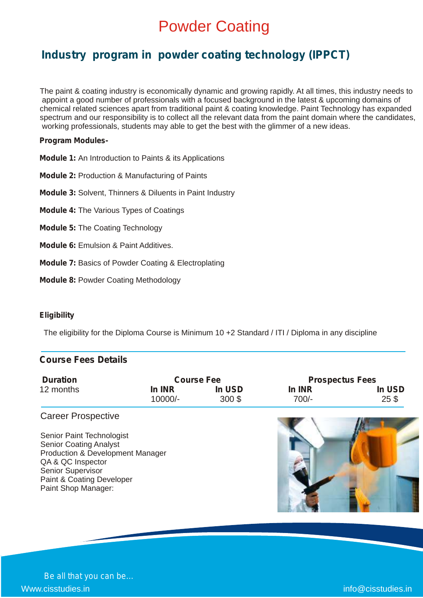### Powder Coating

### **Industry program in powder coating technology (IPPCT)**

The paint & coating industry is economically dynamic and growing rapidly. At all times, this industry needs to appoint a good number of professionals with a focused background in the latest & upcoming domains of chemical related sciences apart from traditional paint & coating knowledge. Paint Technology has expanded spectrum and our responsibility is to collect all the relevant data from the paint domain where the candidates, working professionals, students may able to get the best with the glimmer of a new ideas.

#### **Program Modules-**

- **Module 1:** An Introduction to Paints & its Applications
- **Module 2:** Production & Manufacturing of Paints
- **Module 3:** Solvent, Thinners & Diluents in Paint Industry
- **Module 4:** The Various Types of Coatings
- **Module 5:** The Coating Technology
- **Module 6:** Emulsion & Paint Additives.
- **Module 7:** Basics of Powder Coating & Electroplating
- **Module 8:** Powder Coating Methodology

#### **Eligibility**

The eligibility for the Diploma Course is Minimum 10 +2 Standard / ITI / Diploma in any discipline

### **Course Fees Details**

| <b>Duration</b> |         | <b>Course Fee</b> | <b>Prospectus Fees</b> |                 |  |
|-----------------|---------|-------------------|------------------------|-----------------|--|
| 12 months       | In INR  | In USD            | In INR                 | In USD          |  |
|                 | 10000/- | 300S              | 700/-                  | 25 <sub>3</sub> |  |

#### Career Prospective

Senior Paint Technologist Senior Coating Analyst Production & Development Manager QA & QC Inspector Senior Supervisor Paint & Coating Developer Paint Shop Manager:

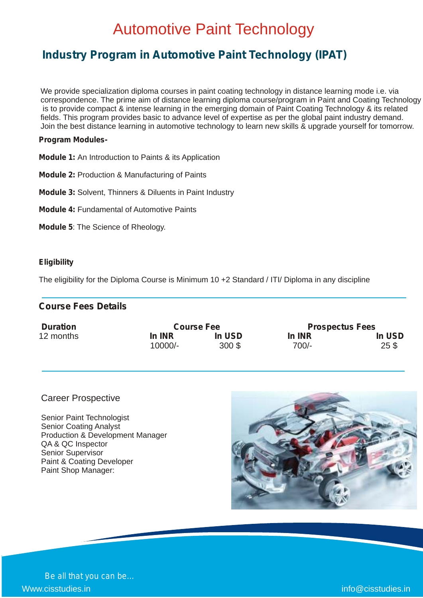### Automotive Paint Technology

### **Industry Program in Automotive Paint Technology (IPAT)**

We provide specialization diploma courses in paint coating technology in distance learning mode i.e. via correspondence. The prime aim of distance learning diploma course/program in Paint and Coating Technology is to provide compact & intense learning in the emerging domain of Paint Coating Technology & its related fields. This program provides basic to advance level of expertise as per the global paint industry demand. Join the best distance learning in automotive technology to learn new skills & upgrade yourself for tomorrow.

#### **Program Modules-**

- **Module 1:** An Introduction to Paints & its Application
- **Module 2:** Production & Manufacturing of Paints
- **Module 3:** Solvent, Thinners & Diluents in Paint Industry
- **Module 4:** Fundamental of Automotive Paints
- **Module 5**: The Science of Rheology.

#### **Eligibility**

The eligibility for the Diploma Course is Minimum 10 +2 Standard / ITI/ Diploma in any discipline

### **Course Fees Details**

| <b>Duration</b> |           | <b>Course Fee</b> | <b>Prospectus Fees</b> |                 |  |
|-----------------|-----------|-------------------|------------------------|-----------------|--|
| 12 months       | In INR    | In USD            | In INR                 | In USD          |  |
|                 | $10000/-$ | $300$ \$          | $700/-$                | 25 <sup>3</sup> |  |

#### Career Prospective

Senior Paint Technologist Senior Coating Analyst Production & Development Manager QA & QC Inspector Senior Supervisor Paint & Coating Developer Paint Shop Manager:

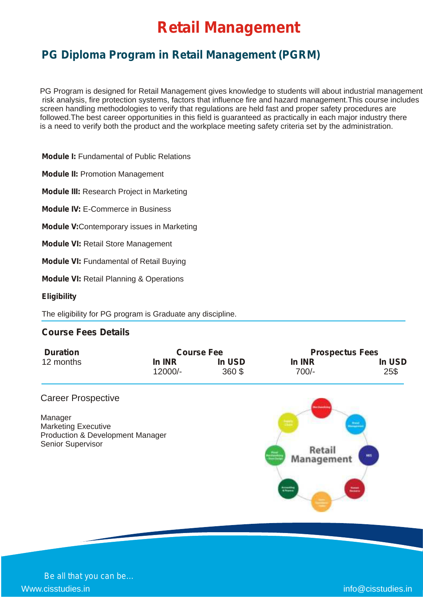### **Retail Management**

### **PG Diploma Program in Retail Management (PGRM)**

PG Program is designed for Retail Management gives knowledge to students will about industrial management risk analysis, fire protection systems, factors that influence fire and hazard management.This course includes screen handling methodologies to verify that regulations are held fast and proper safety procedures are followed.The best career opportunities in this field is guaranteed as practically in each major industry there is a need to verify both the product and the workplace meeting safety criteria set by the administration.

**Module I:** Fundamental of Public Relations

**Module II:** Promotion Management

**Module III:** Research Project in Marketing

**Module IV:** E-Commerce in Business

**Module V:**Contemporary issues in Marketing

**Module VI:** Retail Store Management

**Module VI:** Fundamental of Retail Buying

**Module VI:** Retail Planning & Operations

**Eligibility**

The eligibility for PG program is Graduate any discipline.

### **Course Fees Details**

| <b>Duration</b> | <b>Course Fee</b> |        | <b>Prospectus Fees</b> |        |  |
|-----------------|-------------------|--------|------------------------|--------|--|
| 12 months       | In INR            | In USD | In INR                 | In USD |  |
|                 | 12000/-           | 360\$  | 700/-                  | 25\$   |  |

#### Career Prospective

Manager Marketing Executive Production & Development Manager Senior Supervisor

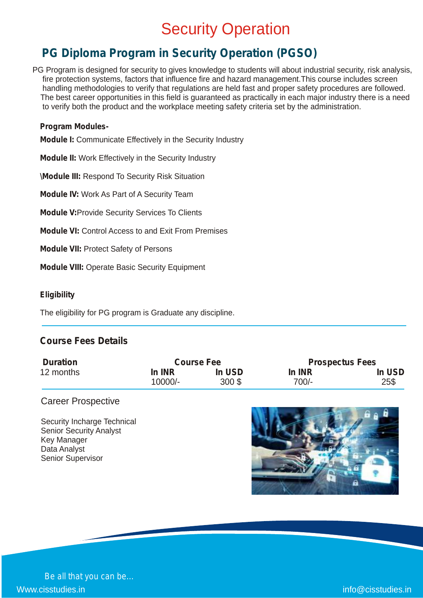### **Security Operation**

### **PG Diploma Program in Security Operation (PGSO)**

PG Program is designed for security to gives knowledge to students will about industrial security, risk analysis, fire protection systems, factors that influence fire and hazard management.This course includes screen handling methodologies to verify that regulations are held fast and proper safety procedures are followed. The best career opportunities in this field is guaranteed as practically in each major industry there is a need to verify both the product and the workplace meeting safety criteria set by the administration.

#### **Program Modules-**

**Module I:** Communicate Effectively in the Security Industry

**Module II:** Work Effectively in the Security Industry

**\Module III:** Respond To Security Risk Situation

**Module IV:** Work As Part of A Security Team

**Module V:**Provide Security Services To Clients

**Module VI:** Control Access to and Exit From Premises

**Module VII:** Protect Safety of Persons

**Module VIII:** Operate Basic Security Equipment

#### **Eligibility**

The eligibility for PG program is Graduate any discipline.

### **Course Fees Details**

| <b>Duration</b> |         | <b>Course Fee</b> | <b>Prospectus Fees</b> |        |  |
|-----------------|---------|-------------------|------------------------|--------|--|
| 12 months       | In INR  | In USD            | In INR                 | In USD |  |
|                 | 10000/- | $300$ \$          | $700/-$                | 25\$   |  |

### Career Prospective

Security Incharge Technical Senior Security Analyst Key Manager Data Analyst Senior Supervisor



*Be all that you can be…* Www.cisstudies.in info@cisstudies.in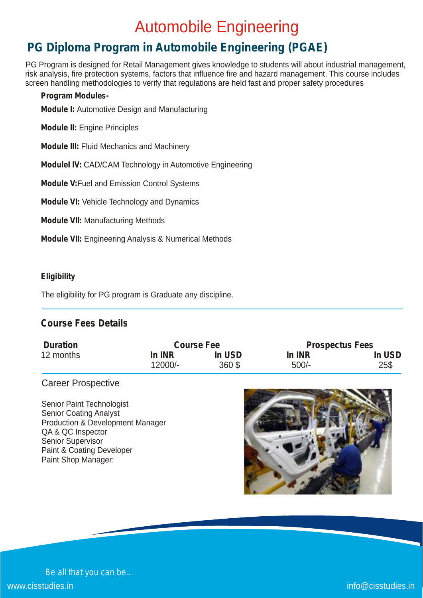### Automobile Engineering

### **PG Diploma Program in Automobile Engineering (PGAE)**

PG Program is designed for Retail Management gives knowledge to students will about industrial management, risk analysis, fire protection systems, factors that influence fire and hazard management. This course includes screen handling methodologies to verify that regulations are held fast and proper safety procedures

### **Program Modules-**

**Module I:** Automotive Design and Manufacturing

**Module II:** Engine Principles

**Module III:** Fluid Mechanics and Machinery

**ModuleI IV:** CAD/CAM Technology in Automotive Engineering

**Module V:**Fuel and Emission Control Systems

**Module VI:** Vehicle Technology and Dynamics

**Module VII:** Manufacturing Methods

**Module VII:** Engineering Analysis & Numerical Methods

### **Eligibility**

The eligibility for PG program is Graduate any discipline.

### **Course Fees Details**

| <b>Duration</b> |         | <b>Course Fee</b> | <b>Prospectus Fees</b> |        |  |
|-----------------|---------|-------------------|------------------------|--------|--|
| 12 months       | In INR  | In USD            | In INR                 | In USD |  |
|                 | 12000/- | 360\$             | $500/-$                | 25\$   |  |

### Career Prospective

Senior Paint Technologist Senior Coating Analyst Production & Development Manager QA & QC Inspector Senior Supervisor Paint & Coating Developer Paint Shop Manager:

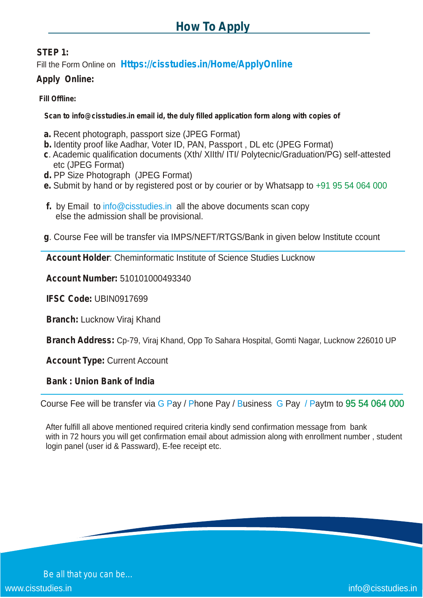### **STEP 1:**

Fill the Form Online on **Https://cisstudies.in/Home/ApplyOnline**

### **Apply Online:**

### **Fill Offline:**

**Scan to info@cisstudies.in email id, the duly filled application form along with copies of**

- **a.** Recent photograph, passport size (JPEG Format)
- **b.** Identity proof like Aadhar, Voter ID, PAN, Passport , DL etc (JPEG Format)
- **c**. Academic qualification documents (Xth/ XIIth/ ITI/ Polytecnic/Graduation/PG) self-attested etc (JPEG Format)
- **d.** PP Size Photograph (JPEG Format)
- **e.** Submit by hand or by registered post or by courier or by Whatsapp to +91 95 54 064 000
- **f.** by Email to info@cisstudies.in all the above documents scan copy else the admission shall be provisional.
- **g**. Course Fee will be transfer via IMPS/NEFT/RTGS/Bank in given below Institute ccount

**Account Holder**: Cheminformatic Institute of Science Studies Lucknow

**Account Number:** 510101000493340

**IFSC Code:** UBIN0917699

**Branch:** Lucknow Viraj Khand

**Branch Address:** Cp-79, Viraj Khand, Opp To Sahara Hospital, Gomti Nagar, Lucknow 226010 UP

**Account Type:** Current Account

### **Bank : Union Bank of India**

Course Fee will be transfer via G Pay / Phone Pay / Business G Pay / Paytm to 95 54 064 000

After fulfill all above mentioned required criteria kindly send confirmation message from bank with in 72 hours you will get confirmation email about admission along with enrollment number , student login panel (user id & Passward), E-fee receipt etc.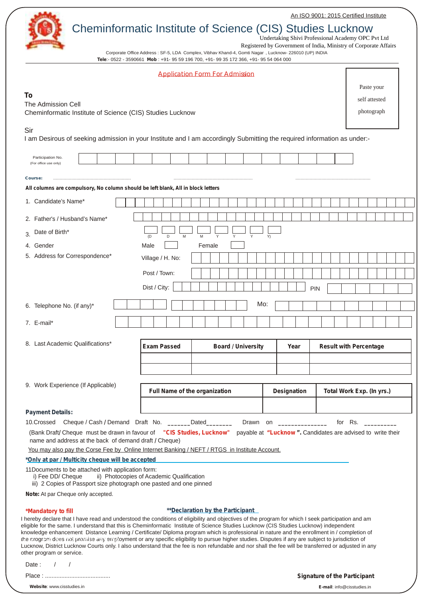An ISO 9001: 2015 Certified Institute



Undertaking Shivi Professional Academy OPC Pvt Ltd

Corporate Office Address : SF-5, LDA Complex, Vibhav Khand-4, Gomti Nagar , Lucknow- 226010 (UP) INDIA Registered by Government of India, Ministry of Corporate Affairs

|                                                                                                                                                                                                                                                                                                                                                                                                                                                                                                                                                                                                                                                                                                                                                                                       |                                           | Tele:- 0522 - 3590661 Mob : +91- 95 59 196 700, +91- 99 35 172 366, +91- 95 54 064 000 |                    |                                     |                           |  |
|---------------------------------------------------------------------------------------------------------------------------------------------------------------------------------------------------------------------------------------------------------------------------------------------------------------------------------------------------------------------------------------------------------------------------------------------------------------------------------------------------------------------------------------------------------------------------------------------------------------------------------------------------------------------------------------------------------------------------------------------------------------------------------------|-------------------------------------------|----------------------------------------------------------------------------------------|--------------------|-------------------------------------|---------------------------|--|
|                                                                                                                                                                                                                                                                                                                                                                                                                                                                                                                                                                                                                                                                                                                                                                                       |                                           | <b>Application Form For Admission</b>                                                  |                    |                                     |                           |  |
|                                                                                                                                                                                                                                                                                                                                                                                                                                                                                                                                                                                                                                                                                                                                                                                       |                                           |                                                                                        |                    |                                     | Paste your                |  |
| To                                                                                                                                                                                                                                                                                                                                                                                                                                                                                                                                                                                                                                                                                                                                                                                    |                                           |                                                                                        |                    |                                     | self attested             |  |
| The Admission Cell<br>Cheminformatic Institute of Science (CIS) Studies Lucknow                                                                                                                                                                                                                                                                                                                                                                                                                                                                                                                                                                                                                                                                                                       |                                           |                                                                                        |                    |                                     | photograph                |  |
|                                                                                                                                                                                                                                                                                                                                                                                                                                                                                                                                                                                                                                                                                                                                                                                       |                                           |                                                                                        |                    |                                     |                           |  |
| Sir<br>I am Desirous of seeking admission in your Institute and I am accordingly Submitting the required information as under:-                                                                                                                                                                                                                                                                                                                                                                                                                                                                                                                                                                                                                                                       |                                           |                                                                                        |                    |                                     |                           |  |
| Participation No.<br>(For office use only)                                                                                                                                                                                                                                                                                                                                                                                                                                                                                                                                                                                                                                                                                                                                            |                                           |                                                                                        |                    |                                     |                           |  |
| Course:                                                                                                                                                                                                                                                                                                                                                                                                                                                                                                                                                                                                                                                                                                                                                                               |                                           |                                                                                        |                    |                                     |                           |  |
| All columns are compulsory, No column should be left blank, All in block letters                                                                                                                                                                                                                                                                                                                                                                                                                                                                                                                                                                                                                                                                                                      |                                           |                                                                                        |                    |                                     |                           |  |
| 1. Candidate's Name*                                                                                                                                                                                                                                                                                                                                                                                                                                                                                                                                                                                                                                                                                                                                                                  |                                           |                                                                                        |                    |                                     |                           |  |
| 2. Father's / Husband's Name*                                                                                                                                                                                                                                                                                                                                                                                                                                                                                                                                                                                                                                                                                                                                                         |                                           |                                                                                        |                    |                                     |                           |  |
| Date of Birth*                                                                                                                                                                                                                                                                                                                                                                                                                                                                                                                                                                                                                                                                                                                                                                        |                                           |                                                                                        |                    |                                     |                           |  |
| 3.                                                                                                                                                                                                                                                                                                                                                                                                                                                                                                                                                                                                                                                                                                                                                                                    | M<br>(D)<br>D                             | M<br>Y<br>Y                                                                            | Y)                 |                                     |                           |  |
| 4. Gender                                                                                                                                                                                                                                                                                                                                                                                                                                                                                                                                                                                                                                                                                                                                                                             | Male                                      | Female                                                                                 |                    |                                     |                           |  |
| 5. Address for Correspondence*                                                                                                                                                                                                                                                                                                                                                                                                                                                                                                                                                                                                                                                                                                                                                        | Village / H. No:                          |                                                                                        |                    |                                     |                           |  |
|                                                                                                                                                                                                                                                                                                                                                                                                                                                                                                                                                                                                                                                                                                                                                                                       | Post / Town:                              |                                                                                        |                    |                                     |                           |  |
|                                                                                                                                                                                                                                                                                                                                                                                                                                                                                                                                                                                                                                                                                                                                                                                       | Dist / City:                              |                                                                                        | PIN                |                                     |                           |  |
| 6. Telephone No. (if any)*                                                                                                                                                                                                                                                                                                                                                                                                                                                                                                                                                                                                                                                                                                                                                            |                                           |                                                                                        | Mo:                |                                     |                           |  |
| 7. E-mail*                                                                                                                                                                                                                                                                                                                                                                                                                                                                                                                                                                                                                                                                                                                                                                            |                                           |                                                                                        |                    |                                     |                           |  |
| 8. Last Academic Qualifications*                                                                                                                                                                                                                                                                                                                                                                                                                                                                                                                                                                                                                                                                                                                                                      | <b>Exam Passed</b>                        | <b>Board / University</b>                                                              | Year               | <b>Result with Percentage</b>       |                           |  |
|                                                                                                                                                                                                                                                                                                                                                                                                                                                                                                                                                                                                                                                                                                                                                                                       |                                           |                                                                                        |                    |                                     |                           |  |
|                                                                                                                                                                                                                                                                                                                                                                                                                                                                                                                                                                                                                                                                                                                                                                                       |                                           |                                                                                        |                    |                                     |                           |  |
| 9. Work Experience (If Applicable)                                                                                                                                                                                                                                                                                                                                                                                                                                                                                                                                                                                                                                                                                                                                                    |                                           | Full Name of the organization                                                          | <b>Designation</b> |                                     | Total Work Exp. (In yrs.) |  |
|                                                                                                                                                                                                                                                                                                                                                                                                                                                                                                                                                                                                                                                                                                                                                                                       |                                           |                                                                                        |                    |                                     |                           |  |
| <b>Payment Details:</b><br>10. Crossed Cheque / Cash / Demand Draft No. ____                                                                                                                                                                                                                                                                                                                                                                                                                                                                                                                                                                                                                                                                                                          |                                           | Dated<br>Drawn on                                                                      |                    | for Rs.                             |                           |  |
| (Bank Draft/ Cheque must be drawn in favour of "CIS Studies, Lucknow" payable at "Lucknow". Candidates are advised to write their<br>name and address at the back of demand draft / Cheque)                                                                                                                                                                                                                                                                                                                                                                                                                                                                                                                                                                                           |                                           |                                                                                        |                    |                                     |                           |  |
| You may also pay the Corse Fee by Online Internet Banking / NEFT / RTGS in Institute Account.                                                                                                                                                                                                                                                                                                                                                                                                                                                                                                                                                                                                                                                                                         |                                           |                                                                                        |                    |                                     |                           |  |
| *Only at par / Multicity cheque will be accepted                                                                                                                                                                                                                                                                                                                                                                                                                                                                                                                                                                                                                                                                                                                                      |                                           |                                                                                        |                    |                                     |                           |  |
| 11 Documents to be attached with application form:<br>i) Fee DD/ Cheque<br>iii) 2 Copies of Passport size photograph one pasted and one pinned                                                                                                                                                                                                                                                                                                                                                                                                                                                                                                                                                                                                                                        | ii) Photocopies of Academic Qualification |                                                                                        |                    |                                     |                           |  |
| Note: At par Cheque only accepted.                                                                                                                                                                                                                                                                                                                                                                                                                                                                                                                                                                                                                                                                                                                                                    |                                           |                                                                                        |                    |                                     |                           |  |
| *Mandatory to fill                                                                                                                                                                                                                                                                                                                                                                                                                                                                                                                                                                                                                                                                                                                                                                    |                                           | <b>**</b> Declaration by the Participant                                               |                    |                                     |                           |  |
| I hereby declare that I have read and understood the conditions of eligibility and objectives of the program for which I seek participation and am<br>eligible for the same. I understand that this is Cheminformatic Institute of Science Studies Lucknow (CIS Studies Lucknow) independent<br>knowledge enhancement Distance Learning / Certificate/ Diploma program which is professional in nature and the enrollment in / completion of<br>the program does not promise any employment or any specific eligibility to pursue higher studies. Disputes if any are subject to jurisdiction of<br>Lucknow, District Lucknow Courts only. I also understand that the fee is non refundable and nor shall the fee will be transferred or adjusted in any<br>other program or service. |                                           |                                                                                        |                    |                                     |                           |  |
| Date:                                                                                                                                                                                                                                                                                                                                                                                                                                                                                                                                                                                                                                                                                                                                                                                 |                                           |                                                                                        |                    |                                     |                           |  |
|                                                                                                                                                                                                                                                                                                                                                                                                                                                                                                                                                                                                                                                                                                                                                                                       |                                           |                                                                                        |                    | <b>Signature of the Participant</b> |                           |  |

#### **Website**: www.cisstudies.in **E-mail**: info@cisstudies.in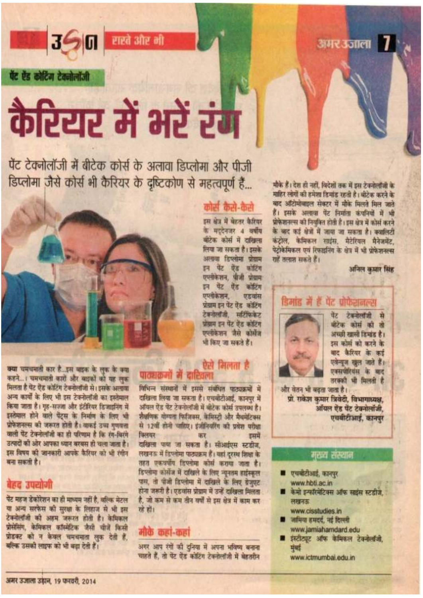अमर उजाला 7

### 360 राखे और मी

पेंट ऐंड कोटिंग टेक्नोलॉजी

# कैरियर में भरें रंग

पेंट टेक्नोलॉजी में बीटेक कोर्स के अलावा डिप्लोमा और पीजी डिप्लोमा जैसे कोर्स भी कैरियर के दृष्टिकोण से महत्वपूर्ण हैं...



क्या चमचमाती कार है...इस बाइक के लुक के क्या कहने...। चमचमाती कारों और बाइकों को यह लक्क मिलता है पेंट ऐंड कोटिंग टेक्नोलॉजी से। इसके अलावा अन्य कार्यों के लिए भी इस टेक्नोलॉजी का इस्तेमाल किया जाता है। गृह-सज्जा और इंटीरियर डिआइनिंग में इस्तेमाल होने वाले पेंट्स के निर्माण के लिए भी प्रोफेशनल्स की जरूरत होती है। वाकई उच्च गणवता वाली पेंट टेक्नोलॉजी का ही परिणाम है कि रंग-विरंगे उत्पादों को ओर आपका ध्यान बरबस हो चला जाता है। इस विषय की जानकारी आपके कैरियर को भी रंगीन बना सकती है।

### बेहद उपयोगी

पेंट महज डेकोरेशन का ही माध्यम नहीं है, बल्कि मेटल या अन्य सरफेस की सुरक्षा के लिहाज से भी इस टेक्नोलॉजी की अहम जरूरत होती है। केमिकल प्रोसेसिंग, केमिकल कॉस्मेंटिक जैसी चीजें किसी प्रोडक्ट को न केवल चमचमाता लक देती हैं. बल्कि उसको लाइफ को भी बढ़ा देती हैं।

### कोर्स कैसे-कैसे

इस क्षेत्र में बेहतर कैरियर के मददेनजर 4 वर्षीय बीटेक कोर्स में दाखिला लिया जा सकता है। इसके अलावा डिप्लोमा प्रोग्राम इन पेंट ऐंड कोटिंग एप्लोकेशन, पीजी प्रोग्राम ान पेट गेह कोटिंग एएसेकेशन. **UE बांस** प्रोग्राम इन पेट ऐंड कॉटिंग टेक्नोलॉजी, सर्टिफिकेट प्रोग्राम इन पेट ऐंड कोटिंग एप्लोकेशन जैसे कोर्सेज भी किए जा सकते हैं।

### ऐसे निलता है पात्यकमी में दाशितल

विभिन्न संस्थानों में इससे संबंधित पाठ्यक्रमों में दाखिला लिया जा सकता है। एचबीटीआई, कानपर में ऑयल ऐंड पेंट टेबनोलॉजी में बीटेक कोर्स उपलब्ध है। शैक्षणिक योग्यता फिजिवस, केंप्रिस्टो और मैथमेटिकम से 12वीं होनी चाहिए। इंजीनियरिंग की प्रवेश परीक्षा किलग्रह डममें कर दाखिला पाया जा सकता है। सीआईएस स्टडीज, लखनऊ में डिप्लोमा पाठ्यक्रम हैं। यहां दरस्थ शिक्षा के तहत एकत्रपति दिल्लोमा कोर्स कराया जाता है। डिप्लोमा कार्सेज में दाखिले के लिए न्यूनतम हाईस्कल पास, तो पीजी डिप्लोमा में दाखिले के लिए ग्रेजपट होना जरूरी है। एडवांस प्रोग्राम में उन्हें दाखिला मिलता है, जो कम से कम तीन वर्षों से इस क्षेत्र में काम कर रहे हों।

### मोके कहां-कहां

अगर आप रंगों की दुनिया में अपना भविष्य बनाना चाहते हैं, तो पेंट ऐंड कोटिंग टेक्नोलॉजी में बेहतरीन

मौके हैं। देश ही नहीं, विदेशों तक में इस टेक्नोलॉजी के माहिर लोगों की हमेशा डिमॉड रहती है। बीटेक करने के बाद ऑटोमोबाइल सेक्टर में मौके मिलते मिल जाते हैं। इसके अलावा पेंट निर्माता कंपनियों में भी प्रोफेशनल्स को नियक्ति होती है। इस क्षेत्र में कोर्स करने के बाद कई क्षेत्रों में जाया जा सकता है। क्यालिटी कंटोल, केमिकल साईस, मैटेरियल मैनेअमेंट, पेटोकेमिकल एवं रिफाइनिंग के क्षेत्र में भी प्रोफेशनल्स राहें तलाश सकते हैं।

अनिल कमार सिंह

### डिमांड में हैं पेंट प्रोफेशनल्स



पेंट टेक्नोलॉजी मे मीटेक कोर्स की तो अच्छी खामी दिमांड है। इस कोर्स को करने के बाद कैरियर के कई एवेन्यूज खुल जाते हैं। एक्सपीरियंस के बाद तरकारी भी मिलती है

और वेतन भी बढ़ता जाता है। प्रो. राकेश कुमार त्रिवेदी, विभागाध्यक्ष, ऑयल ऐंड पेंट टेक्नोलॉजी. एयबोटीआई, कानपर

### मस्य संस्थान

- एचबीटीआई, कानपर www.hbti.ac.in
- केमो इन्कॉरमेटिक्स ऑफ साइंस स्टडीज, लम्बन्ध
- www.cisstudies.in जामिया हमदर्द, नई दिल्ली
- www.jamiahamdard.edu
- इंस्टीट्यूट ऑफ केमिकल टेक्नोलॉजी. मंबई

www.ictmumbai.edu.in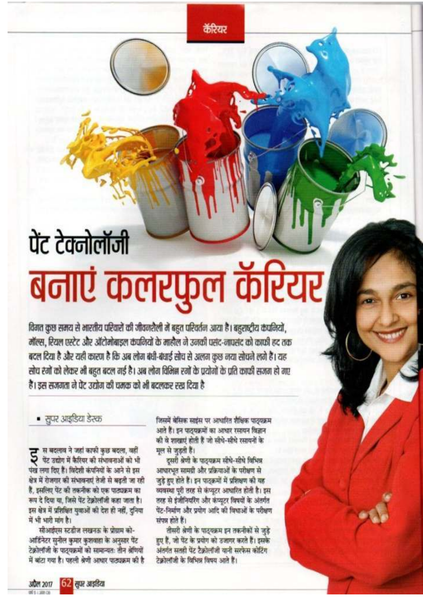कॅरियर

# पेंट टेक्नोलॉजी बनाएं कलरफुल कॅरियर

विगत कुछ समय से भारतीय परिवारों की जीवनशैली में बहुत परिवर्तन आया है। बहुराष्ट्रीय कंपनियों, मॉल्स, रियल एस्टेट और ऑटोमोबाइल कंपनियों के माहौल ने उनकी पसंद-नापसंद को काफी हद तक बदल दिया है और यही कारण है कि अब लोग बंधी-बंधाई सोच से अलग कुछ नया सोचने लगे हैं। यह सोच रंगों को लेकर भी बहुत बदल गई है। अब लोग विभिन्न रंगों के प्रयोगों के प्रति काफी सजग हो गए हैं। इस सजगता ने पेंट उद्योग की चमक को भी बदलकर रख दिया है

■ सुपर आइडिया डेस्क

स बदलाव ने जहां काफी कुछ बदला, वहीं पेंट उद्योग में कैरियर की संभावनाओं को भी पंख लगा दिए हैं। विदेशी कंपनियों के आने से इस क्षेत्र में रोजगार की संभावनाएं तेजी से बढ़ती जा रही हैं, इसलिए पेंट की तकनीक को एक पाठ्यक्रम का रूप दे दिया या, जिसे पेंट टेक्नोलॉजी कहा जाता है। इस क्षेत्र में प्रशिक्षित युवाओं की देश ही नहीं, दनिया में भी भारी मांग है।

सीआईएस स्टडीज लखनऊ के प्रोग्राम को-आर्डिनेटर सुनील कुमार कुशवाहा के अनुसार पेंट टेक्रोलॉजी के पाठयक्रमों को सामान्यतः तीन श्रेणियों में बांटा गया है। पहली श्रेणी आधार पाठ्यक्रम की है जिसमें बेसिक साईस पर आधारित शैक्षिक पाठ्यक्रम आते हैं। इन पाठयक्रमों का आधार रसायन विज्ञान की वे शाखाएं होती हैं जो सीधे-सीधे रसायनों के मल से जड़ती हैं।

दूसरी श्रेणी के पाठ्यक्रम सीधे-सीधे विभिन्न आधारभूत सामग्री और प्रक्रियाओं के परीक्षण से जुड़े हुए होते हैं। इन पाठक्रमों में प्रशिक्षण की यह व्यवस्था पूरी तरह से कंप्यूटर आधारित होती है। इस तरह से इंजीनियरिंग और कंप्यूटर विषयों के अंतर्गत पेंट-निर्माण और प्रयोग आदि की विधाओं के परीक्षण संपन्न होते हैं।

तीसरी श्रेणी के पाठ्यक्रम इन तकनीकों से जुड़े हुए हैं, जो पेंट के प्रयोग को उजागर करते हैं। इसके अंतर्गत सतही पेंट टैक्नोलॉजी यानी सरफेस कोटिंग टेक्रोलॉजी के विभिन्न विषय आते हैं।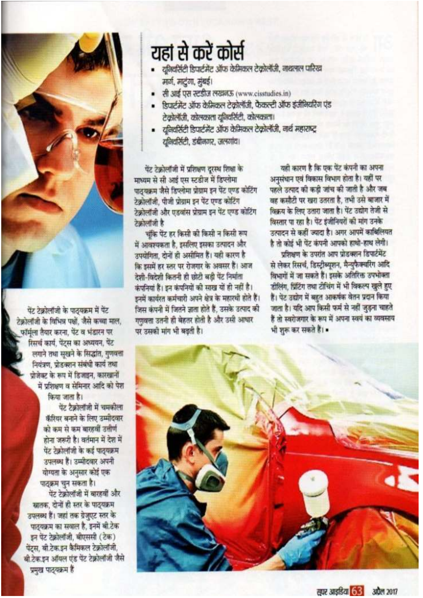

पेंट टेक्नोलॉजी के पाठयक्रम में पेंट टेकोलॉजी के विभिन्न पक्षों, जैसे कच्चा माल, फॉर्मला तैयार करना, पेंट व भंडारन पर रिसर्च कार्य, पेंट्स का अध्ययन, पेंट लगाने तथा सखने के सिद्धांत, गुणवत्ता नियंत्रण, प्रोडक्शन संबंधी कार्य तथा प्रोजेक्ट के रूप में डिजाइन, कारखानों में प्रशिक्षण व सेमिनार आदि को पेश किया जाता है।

> पेंट टैक्नोलॉजी में चमकोला कॅरियर बनाने के लिए उम्मीदवार को कम से कम बारहवीं उत्तीर्ण होना जरूरी है। वर्तमान में देश में पेंट टेक्रोलॉजी के कई पाठयक्रम उपलब्ध हैं। उम्मीदवार अपनी योग्यता के अनुसार कोई एक पाठक्रम चन सकता है।

पेंट टेक्नोलॉजी में बारहवीं और स्नातक, दोनों ही स्तर के पाठ्यक्रम उपलब्ध हैं। जहां तक ग्रेजुएट स्तर के पाठयक्रम का सवाल है, इनमें बी.टेक इन पेंट टेक्नोलॉजी, बीएससी (टेक) पेंटस, बी.टेक.इन कैमिकल टेक्नोलॉजी बी.टेक.इन ऑयल एंड पेंट टेक्नोलॉजी जैसे प्रमुख पाठ्यक्रम हैं

## यहां से करें कोर्स

- यनिवर्सिटी डिपार्टमेंट ऑफ केमिकल टेकोलॉजी, नाथलाल पारिख मार्ग, मार्टगा, मुंबई।
- · ਟੀ 315 एस स्टडीज लखनऊ (www.cisstudies.in)
- डिपार्टमेंट ऑफ केमिकल टेकोलॉजी, फैकल्टी ऑफ इंजीनियरिंग एंड टेकोलॉजी, कोलकाला यूनियर्सिटी, कोलकाला।
- यनिवर्सिटी डिपार्टमेंट ऑफ केमिकल टेकोलॉजी, नार्थ महाराष्ट्र युनियर्सिटी, डंबीनगर, जलगांव।

पेंट टेक्नोलॉजी में प्रशिक्षण दरस्थ शिक्षा के माध्यम से सी आई एस स्टडीज में डिप्लोमा पाठयक्रम जैसे डिप्लोमा प्रोग्राम इन पेंट एण्ड कोटिंग टेकोलॉजी, पीजी प्रोग्राम इन पेंट एण्ड कोटिंग टेकोलॉजी और एडवांस प्रोग्राम इन पेंट एण्ड कोटिंग **टेकोलॉजी** है

चुंकि पेंट हर किसी की किसी न किसी रूप में आवश्यकता है, इसलिए इसका उत्पादन और उपयोगिता. दोनों ही असीमित हैं। यही कारण है कि इसमें हर स्तर पर रोजगार के अवसर हैं। आज टेशी-विटेशी कितनी ही छोटी बड़ी पेंट निर्माता कंपनियां हैं। इन कंपनियों की साख यों ही नहीं है। डनमें कार्यरत कर्मचारी अपने क्षेत्र के महारथी होते हैं। जिस कंपनी में जितने जाता होते हैं. उसके उत्पाद की गणवत्ता उतनी ही बेहतर होती है और उसी आधार पर उसकी मांग भी बढ़ती है।

यही कारण है कि एक पेंट कंपनी का अपना अनसंधान एवं विकास विभाग होता है। यहीं पर पहले उत्पाद की कड़ी जांच की जाती है और जब वह कमौटी पर खरा उतरता है. तभी उसे बाजार में विकय के लिए उतारा जाता है। पेंट उद्योग तेजी से विस्तार पा रहा है। पेंट इंजीनियरों की मांग उनके उत्पादन से कहीं ज्यादा है। अगर आपमें कार्बिलियत है तो कोई भी पेंट कंपनी आपको हाथो-हाथ लेगी।

पत्रिकाण के उपरांत आप प्रोडक्शन डिपार्टमेंट से लेकर रिसर्च, डिस्ट्रीब्युशन, मैन्यफैक्चरिंग आदि विभागों में जा सकते हैं। इसके अतिरिक्त उपभोक्ता डीलिंग, प्रिंटिंग तथा टीचिंग में भी विकल्प खुले हुए हैं। पेंट उद्योग में बहुत आकर्षक वेतन प्रदान किया जाता है। यदि आप किसी फर्म से नहीं जड़ना चाहते हैं तो स्वरोजगार के रूप में अपना स्वयं का व्यवसाय भी शुरू कर सकते हैं।